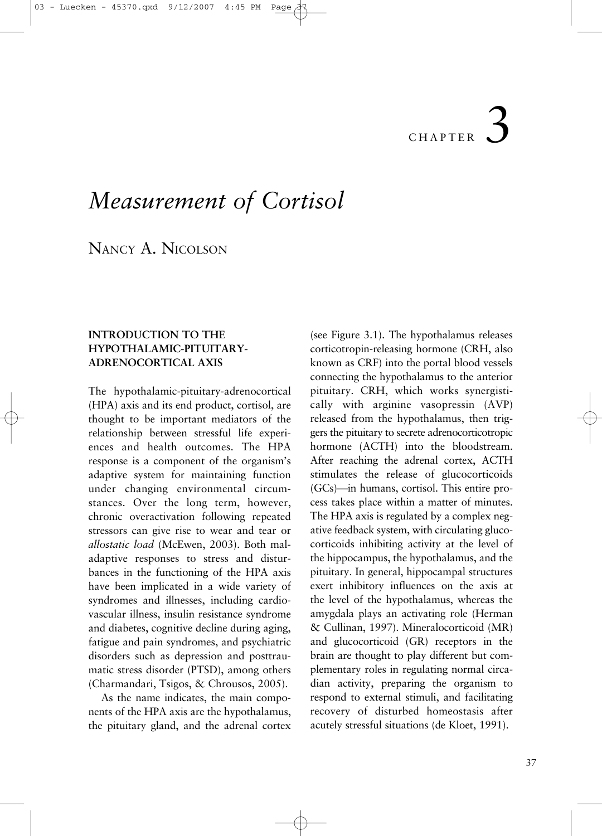# 3 CHAPTER

# *Measurement of Cortisol*

NANCY A. NICOLSON

# **INTRODUCTION TO THE HYPOTHALAMIC-PITUITARY-ADRENOCORTICAL AXIS**

The hypothalamic-pituitary-adrenocortical (HPA) axis and its end product, cortisol, are thought to be important mediators of the relationship between stressful life experiences and health outcomes. The HPA response is a component of the organism's adaptive system for maintaining function under changing environmental circumstances. Over the long term, however, chronic overactivation following repeated stressors can give rise to wear and tear or *allostatic load* (McEwen, 2003). Both maladaptive responses to stress and disturbances in the functioning of the HPA axis have been implicated in a wide variety of syndromes and illnesses, including cardiovascular illness, insulin resistance syndrome and diabetes, cognitive decline during aging, fatigue and pain syndromes, and psychiatric disorders such as depression and posttraumatic stress disorder (PTSD), among others (Charmandari, Tsigos, & Chrousos, 2005).

As the name indicates, the main components of the HPA axis are the hypothalamus, the pituitary gland, and the adrenal cortex

(see Figure 3.1). The hypothalamus releases corticotropin-releasing hormone (CRH, also known as CRF) into the portal blood vessels connecting the hypothalamus to the anterior pituitary. CRH, which works synergistically with arginine vasopressin (AVP) released from the hypothalamus, then triggers the pituitary to secrete adrenocorticotropic hormone (ACTH) into the bloodstream. After reaching the adrenal cortex, ACTH stimulates the release of glucocorticoids (GCs)—in humans, cortisol. This entire process takes place within a matter of minutes. The HPA axis is regulated by a complex negative feedback system, with circulating glucocorticoids inhibiting activity at the level of the hippocampus, the hypothalamus, and the pituitary. In general, hippocampal structures exert inhibitory influences on the axis at the level of the hypothalamus, whereas the amygdala plays an activating role (Herman & Cullinan, 1997). Mineralocorticoid (MR) and glucocorticoid (GR) receptors in the brain are thought to play different but complementary roles in regulating normal circadian activity, preparing the organism to respond to external stimuli, and facilitating recovery of disturbed homeostasis after acutely stressful situations (de Kloet, 1991).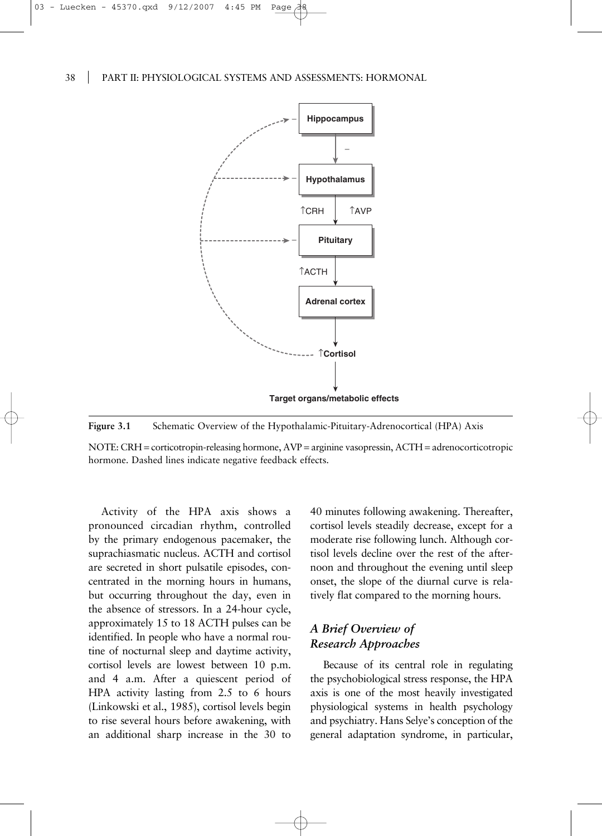

**Figure 3.1** Schematic Overview of the Hypothalamic-Pituitary-Adrenocortical (HPA) Axis

NOTE: CRH = corticotropin-releasing hormone, AVP = arginine vasopressin, ACTH = adrenocorticotropic hormone. Dashed lines indicate negative feedback effects.

Activity of the HPA axis shows a pronounced circadian rhythm, controlled by the primary endogenous pacemaker, the suprachiasmatic nucleus. ACTH and cortisol are secreted in short pulsatile episodes, concentrated in the morning hours in humans, but occurring throughout the day, even in the absence of stressors. In a 24-hour cycle, approximately 15 to 18 ACTH pulses can be identified. In people who have a normal routine of nocturnal sleep and daytime activity, cortisol levels are lowest between 10 p.m. and 4 a.m. After a quiescent period of HPA activity lasting from 2.5 to 6 hours (Linkowski et al., 1985), cortisol levels begin to rise several hours before awakening, with an additional sharp increase in the 30 to

40 minutes following awakening. Thereafter, cortisol levels steadily decrease, except for a moderate rise following lunch. Although cortisol levels decline over the rest of the afternoon and throughout the evening until sleep onset, the slope of the diurnal curve is relatively flat compared to the morning hours.

# *A Brief Overview of Research Approaches*

Because of its central role in regulating the psychobiological stress response, the HPA axis is one of the most heavily investigated physiological systems in health psychology and psychiatry. Hans Selye's conception of the general adaptation syndrome, in particular,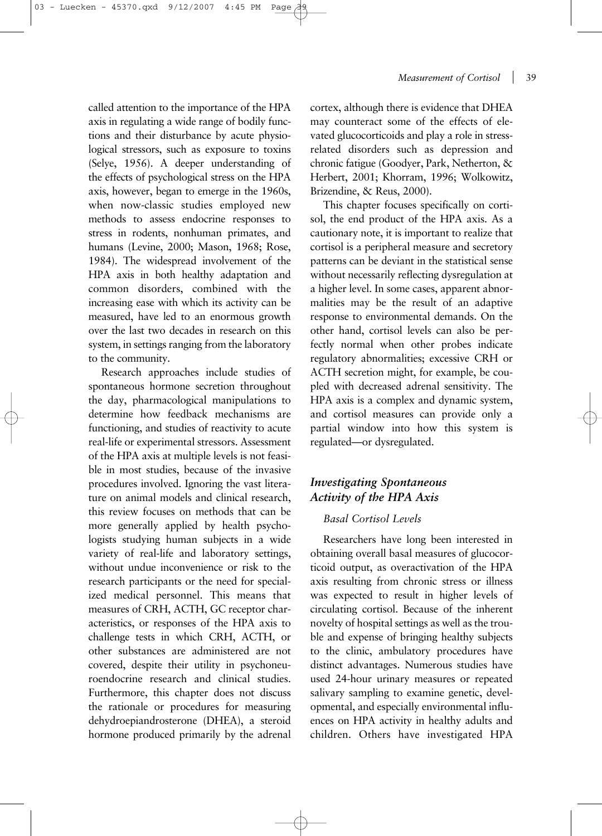called attention to the importance of the HPA axis in regulating a wide range of bodily functions and their disturbance by acute physiological stressors, such as exposure to toxins (Selye, 1956). A deeper understanding of the effects of psychological stress on the HPA axis, however, began to emerge in the 1960s, when now-classic studies employed new methods to assess endocrine responses to stress in rodents, nonhuman primates, and humans (Levine, 2000; Mason, 1968; Rose, 1984). The widespread involvement of the HPA axis in both healthy adaptation and common disorders, combined with the increasing ease with which its activity can be measured, have led to an enormous growth over the last two decades in research on this system, in settings ranging from the laboratory to the community.

Research approaches include studies of spontaneous hormone secretion throughout the day, pharmacological manipulations to determine how feedback mechanisms are functioning, and studies of reactivity to acute real-life or experimental stressors. Assessment of the HPA axis at multiple levels is not feasible in most studies, because of the invasive procedures involved. Ignoring the vast literature on animal models and clinical research, this review focuses on methods that can be more generally applied by health psychologists studying human subjects in a wide variety of real-life and laboratory settings, without undue inconvenience or risk to the research participants or the need for specialized medical personnel. This means that measures of CRH, ACTH, GC receptor characteristics, or responses of the HPA axis to challenge tests in which CRH, ACTH, or other substances are administered are not covered, despite their utility in psychoneuroendocrine research and clinical studies. Furthermore, this chapter does not discuss the rationale or procedures for measuring dehydroepiandrosterone (DHEA), a steroid hormone produced primarily by the adrenal

cortex, although there is evidence that DHEA may counteract some of the effects of elevated glucocorticoids and play a role in stressrelated disorders such as depression and chronic fatigue (Goodyer, Park, Netherton, & Herbert, 2001; Khorram, 1996; Wolkowitz, Brizendine, & Reus, 2000).

This chapter focuses specifically on cortisol, the end product of the HPA axis. As a cautionary note, it is important to realize that cortisol is a peripheral measure and secretory patterns can be deviant in the statistical sense without necessarily reflecting dysregulation at a higher level. In some cases, apparent abnormalities may be the result of an adaptive response to environmental demands. On the other hand, cortisol levels can also be perfectly normal when other probes indicate regulatory abnormalities; excessive CRH or ACTH secretion might, for example, be coupled with decreased adrenal sensitivity. The HPA axis is a complex and dynamic system, and cortisol measures can provide only a partial window into how this system is regulated—or dysregulated.

# *Investigating Spontaneous Activity of the HPA Axis*

# *Basal Cortisol Levels*

Researchers have long been interested in obtaining overall basal measures of glucocorticoid output, as overactivation of the HPA axis resulting from chronic stress or illness was expected to result in higher levels of circulating cortisol. Because of the inherent novelty of hospital settings as well as the trouble and expense of bringing healthy subjects to the clinic, ambulatory procedures have distinct advantages. Numerous studies have used 24-hour urinary measures or repeated salivary sampling to examine genetic, developmental, and especially environmental influences on HPA activity in healthy adults and children. Others have investigated HPA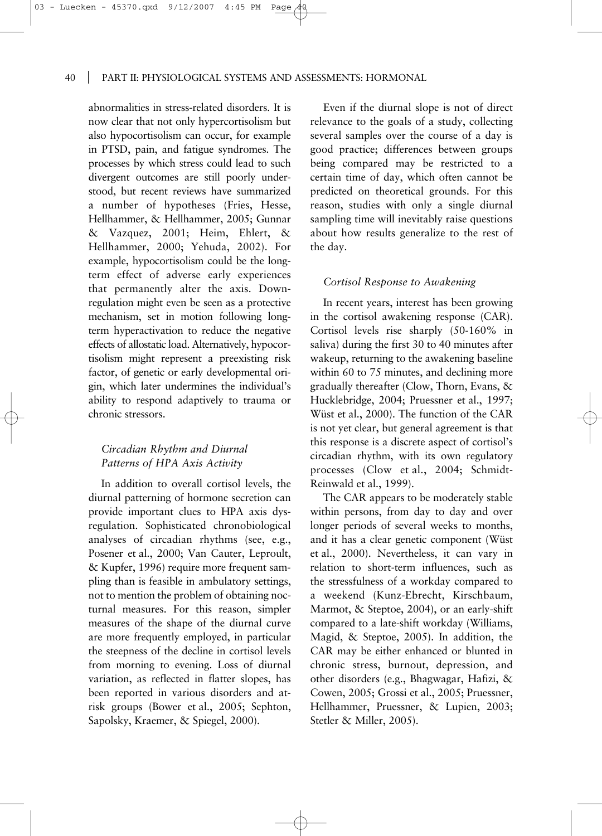03 - Luecken - 45370.qxd 9/12/2007

40 PART II: PHYSIOLOGICAL SYSTEMS AND ASSESSMENTS: HORMONAL

abnormalities in stress-related disorders. It is now clear that not only hypercortisolism but also hypocortisolism can occur, for example in PTSD, pain, and fatigue syndromes. The processes by which stress could lead to such divergent outcomes are still poorly understood, but recent reviews have summarized a number of hypotheses (Fries, Hesse, Hellhammer, & Hellhammer, 2005; Gunnar & Vazquez, 2001; Heim, Ehlert, & Hellhammer, 2000; Yehuda, 2002). For example, hypocortisolism could be the longterm effect of adverse early experiences that permanently alter the axis. Downregulation might even be seen as a protective mechanism, set in motion following longterm hyperactivation to reduce the negative effects of allostatic load. Alternatively, hypocortisolism might represent a preexisting risk factor, of genetic or early developmental origin, which later undermines the individual's ability to respond adaptively to trauma or chronic stressors.

# *Circadian Rhythm and Diurnal Patterns of HPA Axis Activity*

In addition to overall cortisol levels, the diurnal patterning of hormone secretion can provide important clues to HPA axis dysregulation. Sophisticated chronobiological analyses of circadian rhythms (see, e.g., Posener et al., 2000; Van Cauter, Leproult, & Kupfer, 1996) require more frequent sampling than is feasible in ambulatory settings, not to mention the problem of obtaining nocturnal measures. For this reason, simpler measures of the shape of the diurnal curve are more frequently employed, in particular the steepness of the decline in cortisol levels from morning to evening. Loss of diurnal variation, as reflected in flatter slopes, has been reported in various disorders and atrisk groups (Bower et al., 2005; Sephton, Sapolsky, Kraemer, & Spiegel, 2000).

Even if the diurnal slope is not of direct relevance to the goals of a study, collecting several samples over the course of a day is good practice; differences between groups being compared may be restricted to a certain time of day, which often cannot be predicted on theoretical grounds. For this reason, studies with only a single diurnal sampling time will inevitably raise questions about how results generalize to the rest of the day.

## *Cortisol Response to Awakening*

In recent years, interest has been growing in the cortisol awakening response (CAR). Cortisol levels rise sharply (50-160% in saliva) during the first 30 to 40 minutes after wakeup, returning to the awakening baseline within 60 to 75 minutes, and declining more gradually thereafter (Clow, Thorn, Evans, & Hucklebridge, 2004; Pruessner et al., 1997; Wüst et al., 2000). The function of the CAR is not yet clear, but general agreement is that this response is a discrete aspect of cortisol's circadian rhythm, with its own regulatory processes (Clow et al., 2004; Schmidt-Reinwald et al., 1999).

The CAR appears to be moderately stable within persons, from day to day and over longer periods of several weeks to months, and it has a clear genetic component (Wüst et al., 2000). Nevertheless, it can vary in relation to short-term influences, such as the stressfulness of a workday compared to a weekend (Kunz-Ebrecht, Kirschbaum, Marmot, & Steptoe, 2004), or an early-shift compared to a late-shift workday (Williams, Magid, & Steptoe, 2005). In addition, the CAR may be either enhanced or blunted in chronic stress, burnout, depression, and other disorders (e.g., Bhagwagar, Hafizi, & Cowen, 2005; Grossi et al., 2005; Pruessner, Hellhammer, Pruessner, & Lupien, 2003; Stetler & Miller, 2005).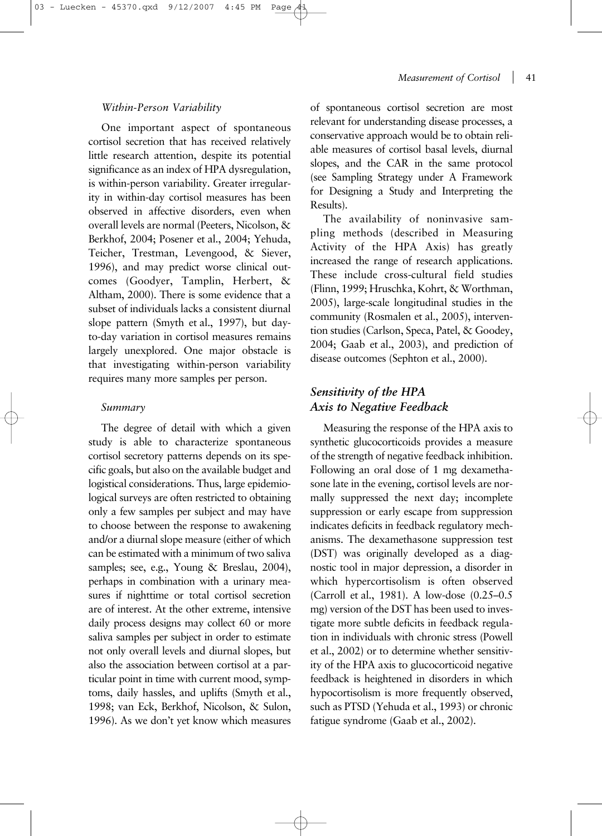#### *Measurement of Cortisol* | 41

## *Within-Person Variability*

One important aspect of spontaneous cortisol secretion that has received relatively little research attention, despite its potential significance as an index of HPA dysregulation, is within-person variability. Greater irregularity in within-day cortisol measures has been observed in affective disorders, even when overall levels are normal (Peeters, Nicolson, & Berkhof, 2004; Posener et al., 2004; Yehuda, Teicher, Trestman, Levengood, & Siever, 1996), and may predict worse clinical outcomes (Goodyer, Tamplin, Herbert, & Altham, 2000). There is some evidence that a subset of individuals lacks a consistent diurnal slope pattern (Smyth et al., 1997), but dayto-day variation in cortisol measures remains largely unexplored. One major obstacle is that investigating within-person variability requires many more samples per person.

#### *Summary*

The degree of detail with which a given study is able to characterize spontaneous cortisol secretory patterns depends on its specific goals, but also on the available budget and logistical considerations. Thus, large epidemiological surveys are often restricted to obtaining only a few samples per subject and may have to choose between the response to awakening and/or a diurnal slope measure (either of which can be estimated with a minimum of two saliva samples; see, e.g., Young & Breslau, 2004), perhaps in combination with a urinary measures if nighttime or total cortisol secretion are of interest. At the other extreme, intensive daily process designs may collect 60 or more saliva samples per subject in order to estimate not only overall levels and diurnal slopes, but also the association between cortisol at a particular point in time with current mood, symptoms, daily hassles, and uplifts (Smyth et al., 1998; van Eck, Berkhof, Nicolson, & Sulon, 1996). As we don't yet know which measures of spontaneous cortisol secretion are most relevant for understanding disease processes, a conservative approach would be to obtain reliable measures of cortisol basal levels, diurnal slopes, and the CAR in the same protocol (see Sampling Strategy under A Framework for Designing a Study and Interpreting the Results).

The availability of noninvasive sampling methods (described in Measuring Activity of the HPA Axis) has greatly increased the range of research applications. These include cross-cultural field studies (Flinn, 1999; Hruschka, Kohrt, & Worthman, 2005), large-scale longitudinal studies in the community (Rosmalen et al., 2005), intervention studies (Carlson, Speca, Patel, & Goodey, 2004; Gaab et al., 2003), and prediction of disease outcomes (Sephton et al., 2000).

# *Sensitivity of the HPA Axis to Negative Feedback*

Measuring the response of the HPA axis to synthetic glucocorticoids provides a measure of the strength of negative feedback inhibition. Following an oral dose of 1 mg dexamethasone late in the evening, cortisol levels are normally suppressed the next day; incomplete suppression or early escape from suppression indicates deficits in feedback regulatory mechanisms. The dexamethasone suppression test (DST) was originally developed as a diagnostic tool in major depression, a disorder in which hypercortisolism is often observed (Carroll et al., 1981). A low-dose (0.25–0.5 mg) version of the DST has been used to investigate more subtle deficits in feedback regulation in individuals with chronic stress (Powell et al., 2002) or to determine whether sensitivity of the HPA axis to glucocorticoid negative feedback is heightened in disorders in which hypocortisolism is more frequently observed, such as PTSD (Yehuda et al., 1993) or chronic fatigue syndrome (Gaab et al., 2002).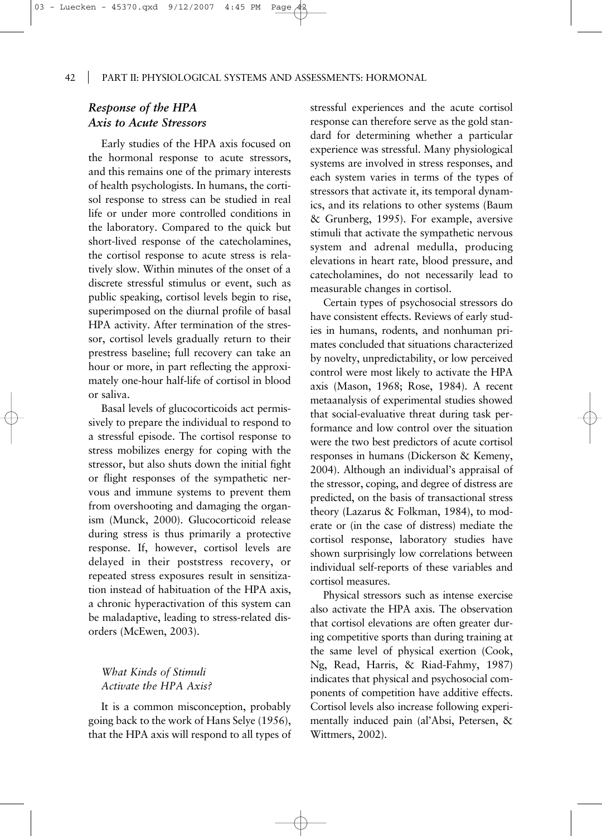# *Response of the HPA Axis to Acute Stressors*

Early studies of the HPA axis focused on the hormonal response to acute stressors, and this remains one of the primary interests of health psychologists. In humans, the cortisol response to stress can be studied in real life or under more controlled conditions in the laboratory. Compared to the quick but short-lived response of the catecholamines, the cortisol response to acute stress is relatively slow. Within minutes of the onset of a discrete stressful stimulus or event, such as public speaking, cortisol levels begin to rise, superimposed on the diurnal profile of basal HPA activity. After termination of the stressor, cortisol levels gradually return to their prestress baseline; full recovery can take an hour or more, in part reflecting the approximately one-hour half-life of cortisol in blood or saliva.

Basal levels of glucocorticoids act permissively to prepare the individual to respond to a stressful episode. The cortisol response to stress mobilizes energy for coping with the stressor, but also shuts down the initial fight or flight responses of the sympathetic nervous and immune systems to prevent them from overshooting and damaging the organism (Munck, 2000). Glucocorticoid release during stress is thus primarily a protective response. If, however, cortisol levels are delayed in their poststress recovery, or repeated stress exposures result in sensitization instead of habituation of the HPA axis, a chronic hyperactivation of this system can be maladaptive, leading to stress-related disorders (McEwen, 2003).

# *What Kinds of Stimuli Activate the HPA Axis?*

It is a common misconception, probably going back to the work of Hans Selye (1956), that the HPA axis will respond to all types of stressful experiences and the acute cortisol response can therefore serve as the gold standard for determining whether a particular experience was stressful. Many physiological systems are involved in stress responses, and each system varies in terms of the types of stressors that activate it, its temporal dynamics, and its relations to other systems (Baum & Grunberg, 1995). For example, aversive stimuli that activate the sympathetic nervous system and adrenal medulla, producing elevations in heart rate, blood pressure, and catecholamines, do not necessarily lead to measurable changes in cortisol.

Certain types of psychosocial stressors do have consistent effects. Reviews of early studies in humans, rodents, and nonhuman primates concluded that situations characterized by novelty, unpredictability, or low perceived control were most likely to activate the HPA axis (Mason, 1968; Rose, 1984). A recent metaanalysis of experimental studies showed that social-evaluative threat during task performance and low control over the situation were the two best predictors of acute cortisol responses in humans (Dickerson & Kemeny, 2004). Although an individual's appraisal of the stressor, coping, and degree of distress are predicted, on the basis of transactional stress theory (Lazarus & Folkman, 1984), to moderate or (in the case of distress) mediate the cortisol response, laboratory studies have shown surprisingly low correlations between individual self-reports of these variables and cortisol measures.

Physical stressors such as intense exercise also activate the HPA axis. The observation that cortisol elevations are often greater during competitive sports than during training at the same level of physical exertion (Cook, Ng, Read, Harris, & Riad-Fahmy, 1987) indicates that physical and psychosocial components of competition have additive effects. Cortisol levels also increase following experimentally induced pain (al'Absi, Petersen, & Wittmers, 2002).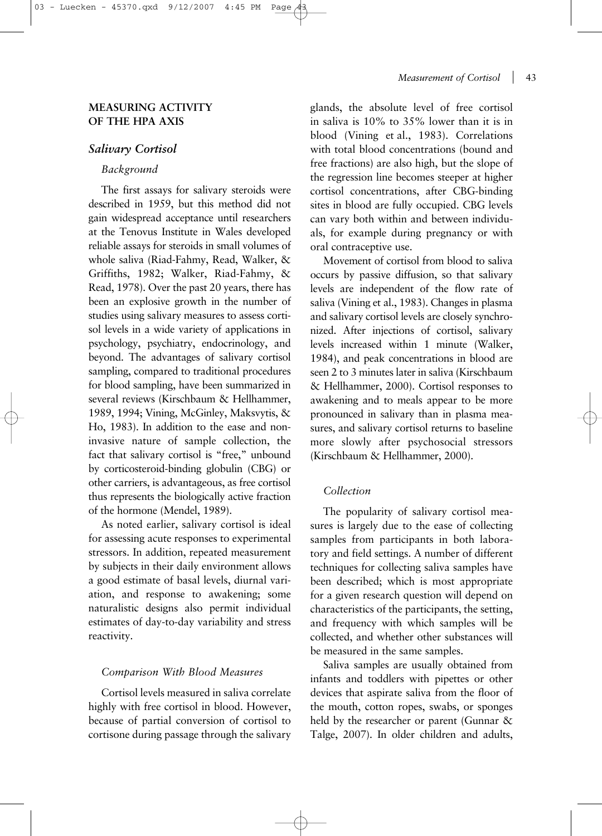# **MEASURING ACTIVITY OF THE HPA AXIS**

## *Salivary Cortisol*

## *Background*

The first assays for salivary steroids were described in 1959, but this method did not gain widespread acceptance until researchers at the Tenovus Institute in Wales developed reliable assays for steroids in small volumes of whole saliva (Riad-Fahmy, Read, Walker, & Griffiths, 1982; Walker, Riad-Fahmy, & Read, 1978). Over the past 20 years, there has been an explosive growth in the number of studies using salivary measures to assess cortisol levels in a wide variety of applications in psychology, psychiatry, endocrinology, and beyond. The advantages of salivary cortisol sampling, compared to traditional procedures for blood sampling, have been summarized in several reviews (Kirschbaum & Hellhammer, 1989, 1994; Vining, McGinley, Maksvytis, & Ho, 1983). In addition to the ease and noninvasive nature of sample collection, the fact that salivary cortisol is "free," unbound by corticosteroid-binding globulin (CBG) or other carriers, is advantageous, as free cortisol thus represents the biologically active fraction of the hormone (Mendel, 1989).

As noted earlier, salivary cortisol is ideal for assessing acute responses to experimental stressors. In addition, repeated measurement by subjects in their daily environment allows a good estimate of basal levels, diurnal variation, and response to awakening; some naturalistic designs also permit individual estimates of day-to-day variability and stress reactivity.

#### *Comparison With Blood Measures*

Cortisol levels measured in saliva correlate highly with free cortisol in blood. However, because of partial conversion of cortisol to cortisone during passage through the salivary

## *Measurement of Cortisol* | 43

glands, the absolute level of free cortisol in saliva is 10% to 35% lower than it is in blood (Vining et al., 1983). Correlations with total blood concentrations (bound and free fractions) are also high, but the slope of the regression line becomes steeper at higher cortisol concentrations, after CBG-binding sites in blood are fully occupied. CBG levels can vary both within and between individuals, for example during pregnancy or with oral contraceptive use.

Movement of cortisol from blood to saliva occurs by passive diffusion, so that salivary levels are independent of the flow rate of saliva (Vining et al., 1983). Changes in plasma and salivary cortisol levels are closely synchronized. After injections of cortisol, salivary levels increased within 1 minute (Walker, 1984), and peak concentrations in blood are seen 2 to 3 minutes later in saliva (Kirschbaum & Hellhammer, 2000). Cortisol responses to awakening and to meals appear to be more pronounced in salivary than in plasma measures, and salivary cortisol returns to baseline more slowly after psychosocial stressors (Kirschbaum & Hellhammer, 2000).

# *Collection*

The popularity of salivary cortisol measures is largely due to the ease of collecting samples from participants in both laboratory and field settings. A number of different techniques for collecting saliva samples have been described; which is most appropriate for a given research question will depend on characteristics of the participants, the setting, and frequency with which samples will be collected, and whether other substances will be measured in the same samples.

Saliva samples are usually obtained from infants and toddlers with pipettes or other devices that aspirate saliva from the floor of the mouth, cotton ropes, swabs, or sponges held by the researcher or parent (Gunnar & Talge, 2007). In older children and adults,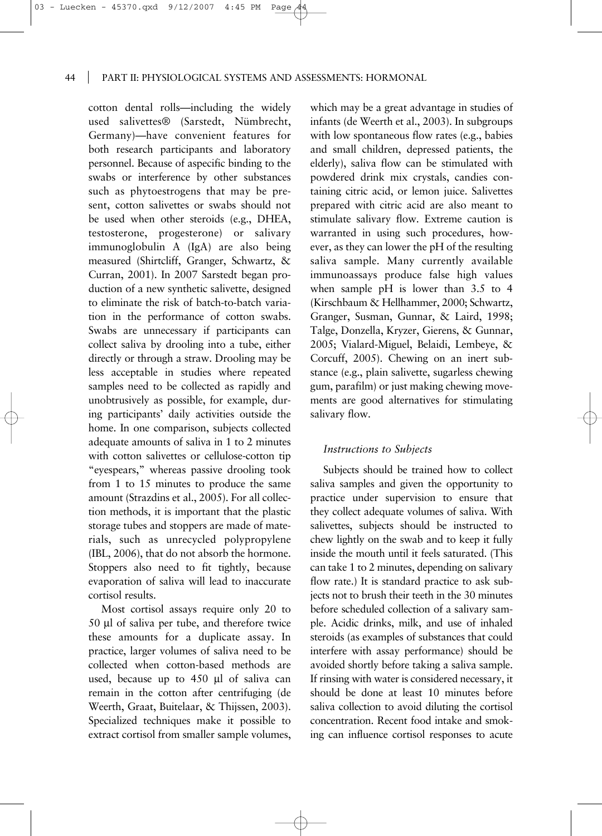cotton dental rolls—including the widely used salivettes® (Sarstedt, Nümbrecht, Germany)—have convenient features for both research participants and laboratory personnel. Because of aspecific binding to the swabs or interference by other substances such as phytoestrogens that may be present, cotton salivettes or swabs should not be used when other steroids (e.g., DHEA, testosterone, progesterone) or salivary immunoglobulin A (IgA) are also being measured (Shirtcliff, Granger, Schwartz, & Curran, 2001). In 2007 Sarstedt began production of a new synthetic salivette, designed to eliminate the risk of batch-to-batch variation in the performance of cotton swabs. Swabs are unnecessary if participants can collect saliva by drooling into a tube, either directly or through a straw. Drooling may be less acceptable in studies where repeated samples need to be collected as rapidly and unobtrusively as possible, for example, during participants' daily activities outside the home. In one comparison, subjects collected adequate amounts of saliva in 1 to 2 minutes with cotton salivettes or cellulose-cotton tip "eyespears," whereas passive drooling took from 1 to 15 minutes to produce the same amount (Strazdins et al., 2005). For all collection methods, it is important that the plastic storage tubes and stoppers are made of materials, such as unrecycled polypropylene (IBL, 2006), that do not absorb the hormone. Stoppers also need to fit tightly, because evaporation of saliva will lead to inaccurate cortisol results.

Most cortisol assays require only 20 to 50 µl of saliva per tube, and therefore twice these amounts for a duplicate assay. In practice, larger volumes of saliva need to be collected when cotton-based methods are used, because up to 450 µl of saliva can remain in the cotton after centrifuging (de Weerth, Graat, Buitelaar, & Thijssen, 2003). Specialized techniques make it possible to extract cortisol from smaller sample volumes,

which may be a great advantage in studies of infants (de Weerth et al., 2003). In subgroups with low spontaneous flow rates (e.g., babies and small children, depressed patients, the elderly), saliva flow can be stimulated with powdered drink mix crystals, candies containing citric acid, or lemon juice. Salivettes prepared with citric acid are also meant to stimulate salivary flow. Extreme caution is warranted in using such procedures, however, as they can lower the pH of the resulting saliva sample. Many currently available immunoassays produce false high values when sample pH is lower than 3.5 to 4 (Kirschbaum & Hellhammer, 2000; Schwartz, Granger, Susman, Gunnar, & Laird, 1998; Talge, Donzella, Kryzer, Gierens, & Gunnar, 2005; Vialard-Miguel, Belaidi, Lembeye, & Corcuff, 2005). Chewing on an inert substance (e.g., plain salivette, sugarless chewing gum, parafilm) or just making chewing movements are good alternatives for stimulating salivary flow.

#### *Instructions to Subjects*

Subjects should be trained how to collect saliva samples and given the opportunity to practice under supervision to ensure that they collect adequate volumes of saliva. With salivettes, subjects should be instructed to chew lightly on the swab and to keep it fully inside the mouth until it feels saturated. (This can take 1 to 2 minutes, depending on salivary flow rate.) It is standard practice to ask subjects not to brush their teeth in the 30 minutes before scheduled collection of a salivary sample. Acidic drinks, milk, and use of inhaled steroids (as examples of substances that could interfere with assay performance) should be avoided shortly before taking a saliva sample. If rinsing with water is considered necessary, it should be done at least 10 minutes before saliva collection to avoid diluting the cortisol concentration. Recent food intake and smoking can influence cortisol responses to acute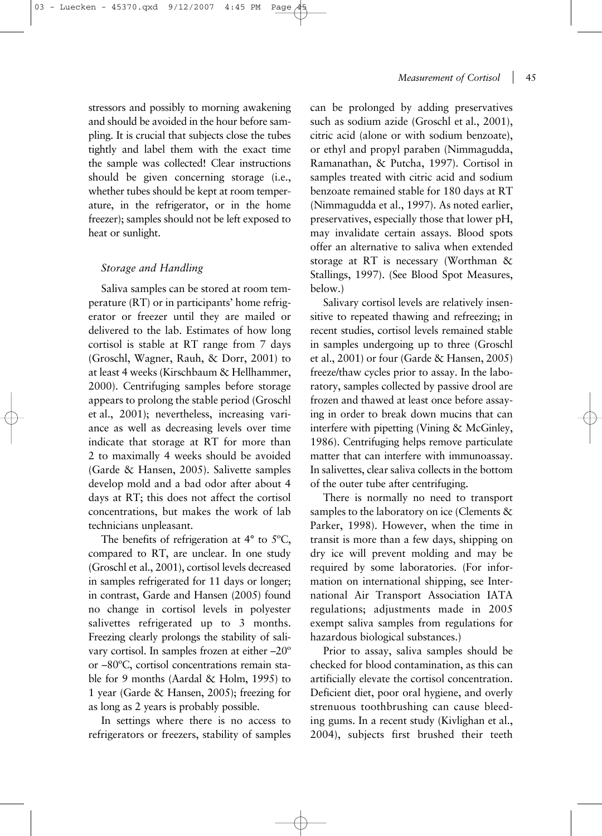stressors and possibly to morning awakening and should be avoided in the hour before sampling. It is crucial that subjects close the tubes tightly and label them with the exact time the sample was collected! Clear instructions should be given concerning storage (i.e., whether tubes should be kept at room temperature, in the refrigerator, or in the home freezer); samples should not be left exposed to heat or sunlight.

## *Storage and Handling*

Saliva samples can be stored at room temperature (RT) or in participants' home refrigerator or freezer until they are mailed or delivered to the lab. Estimates of how long cortisol is stable at RT range from 7 days (Groschl, Wagner, Rauh, & Dorr, 2001) to at least 4 weeks (Kirschbaum & Hellhammer, 2000). Centrifuging samples before storage appears to prolong the stable period (Groschl et al., 2001); nevertheless, increasing variance as well as decreasing levels over time indicate that storage at RT for more than 2 to maximally 4 weeks should be avoided (Garde & Hansen, 2005). Salivette samples develop mold and a bad odor after about 4 days at RT; this does not affect the cortisol concentrations, but makes the work of lab technicians unpleasant.

The benefits of refrigeration at 4° to 5ºC, compared to RT, are unclear. In one study (Groschl et al., 2001), cortisol levels decreased in samples refrigerated for 11 days or longer; in contrast, Garde and Hansen (2005) found no change in cortisol levels in polyester salivettes refrigerated up to 3 months. Freezing clearly prolongs the stability of salivary cortisol. In samples frozen at either –20º or –80ºC, cortisol concentrations remain stable for 9 months (Aardal & Holm, 1995) to 1 year (Garde & Hansen, 2005); freezing for as long as 2 years is probably possible.

In settings where there is no access to refrigerators or freezers, stability of samples can be prolonged by adding preservatives such as sodium azide (Groschl et al., 2001), citric acid (alone or with sodium benzoate), or ethyl and propyl paraben (Nimmagudda, Ramanathan, & Putcha, 1997). Cortisol in samples treated with citric acid and sodium benzoate remained stable for 180 days at RT (Nimmagudda et al., 1997). As noted earlier, preservatives, especially those that lower pH, may invalidate certain assays. Blood spots offer an alternative to saliva when extended storage at RT is necessary (Worthman & Stallings, 1997). (See Blood Spot Measures, below.)

Salivary cortisol levels are relatively insensitive to repeated thawing and refreezing; in recent studies, cortisol levels remained stable in samples undergoing up to three (Groschl et al., 2001) or four (Garde & Hansen, 2005) freeze/thaw cycles prior to assay. In the laboratory, samples collected by passive drool are frozen and thawed at least once before assaying in order to break down mucins that can interfere with pipetting (Vining & McGinley, 1986). Centrifuging helps remove particulate matter that can interfere with immunoassay. In salivettes, clear saliva collects in the bottom of the outer tube after centrifuging.

There is normally no need to transport samples to the laboratory on ice (Clements & Parker, 1998). However, when the time in transit is more than a few days, shipping on dry ice will prevent molding and may be required by some laboratories. (For information on international shipping, see International Air Transport Association IATA regulations; adjustments made in 2005 exempt saliva samples from regulations for hazardous biological substances.)

Prior to assay, saliva samples should be checked for blood contamination, as this can artificially elevate the cortisol concentration. Deficient diet, poor oral hygiene, and overly strenuous toothbrushing can cause bleeding gums. In a recent study (Kivlighan et al., 2004), subjects first brushed their teeth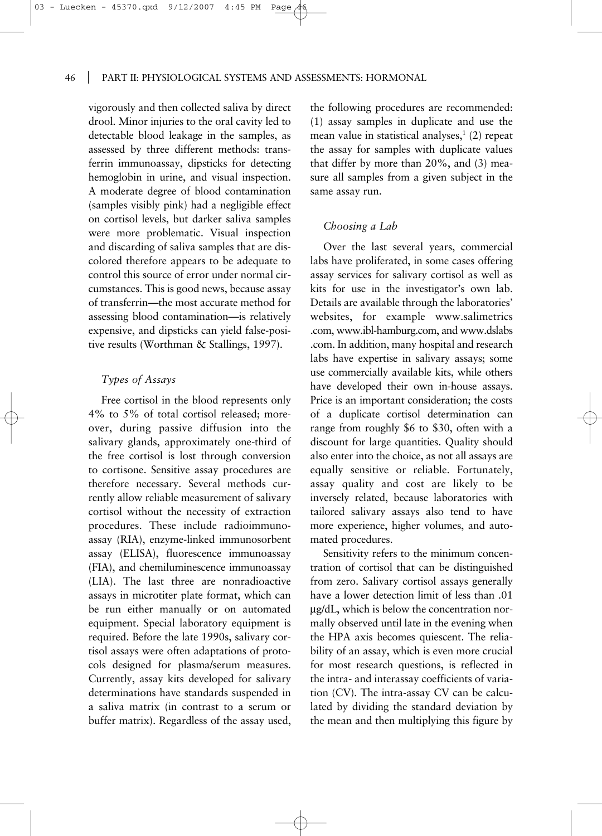vigorously and then collected saliva by direct drool. Minor injuries to the oral cavity led to detectable blood leakage in the samples, as assessed by three different methods: transferrin immunoassay, dipsticks for detecting hemoglobin in urine, and visual inspection. A moderate degree of blood contamination (samples visibly pink) had a negligible effect on cortisol levels, but darker saliva samples were more problematic. Visual inspection and discarding of saliva samples that are discolored therefore appears to be adequate to control this source of error under normal circumstances. This is good news, because assay of transferrin—the most accurate method for assessing blood contamination—is relatively expensive, and dipsticks can yield false-positive results (Worthman & Stallings, 1997).

# *Types of Assays*

Free cortisol in the blood represents only 4% to 5% of total cortisol released; moreover, during passive diffusion into the salivary glands, approximately one-third of the free cortisol is lost through conversion to cortisone. Sensitive assay procedures are therefore necessary. Several methods currently allow reliable measurement of salivary cortisol without the necessity of extraction procedures. These include radioimmunoassay (RIA), enzyme-linked immunosorbent assay (ELISA), fluorescence immunoassay (FIA), and chemiluminescence immunoassay (LIA). The last three are nonradioactive assays in microtiter plate format, which can be run either manually or on automated equipment. Special laboratory equipment is required. Before the late 1990s, salivary cortisol assays were often adaptations of protocols designed for plasma/serum measures. Currently, assay kits developed for salivary determinations have standards suspended in a saliva matrix (in contrast to a serum or buffer matrix). Regardless of the assay used, the following procedures are recommended: (1) assay samples in duplicate and use the mean value in statistical analyses, $1$  (2) repeat the assay for samples with duplicate values that differ by more than 20%, and (3) measure all samples from a given subject in the same assay run.

#### *Choosing a Lab*

Over the last several years, commercial labs have proliferated, in some cases offering assay services for salivary cortisol as well as kits for use in the investigator's own lab. Details are available through the laboratories' websites, for example www.salimetrics .com, www.ibl-hamburg.com, and www.dslabs .com. In addition, many hospital and research labs have expertise in salivary assays; some use commercially available kits, while others have developed their own in-house assays. Price is an important consideration; the costs of a duplicate cortisol determination can range from roughly \$6 to \$30, often with a discount for large quantities. Quality should also enter into the choice, as not all assays are equally sensitive or reliable. Fortunately, assay quality and cost are likely to be inversely related, because laboratories with tailored salivary assays also tend to have more experience, higher volumes, and automated procedures.

Sensitivity refers to the minimum concentration of cortisol that can be distinguished from zero. Salivary cortisol assays generally have a lower detection limit of less than .01 µg/dL, which is below the concentration normally observed until late in the evening when the HPA axis becomes quiescent. The reliability of an assay, which is even more crucial for most research questions, is reflected in the intra- and interassay coefficients of variation (CV). The intra-assay CV can be calculated by dividing the standard deviation by the mean and then multiplying this figure by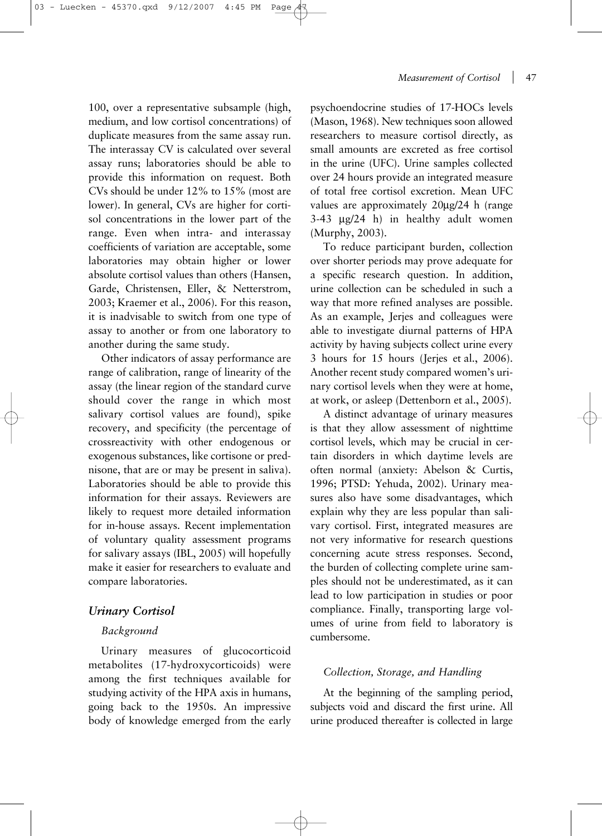100, over a representative subsample (high, medium, and low cortisol concentrations) of duplicate measures from the same assay run. The interassay CV is calculated over several assay runs; laboratories should be able to provide this information on request. Both CVs should be under 12% to 15% (most are lower). In general, CVs are higher for cortisol concentrations in the lower part of the range. Even when intra- and interassay coefficients of variation are acceptable, some laboratories may obtain higher or lower absolute cortisol values than others (Hansen, Garde, Christensen, Eller, & Netterstrom, 2003; Kraemer et al., 2006). For this reason, it is inadvisable to switch from one type of assay to another or from one laboratory to another during the same study.

Other indicators of assay performance are range of calibration, range of linearity of the assay (the linear region of the standard curve should cover the range in which most salivary cortisol values are found), spike recovery, and specificity (the percentage of crossreactivity with other endogenous or exogenous substances, like cortisone or prednisone, that are or may be present in saliva). Laboratories should be able to provide this information for their assays. Reviewers are likely to request more detailed information for in-house assays. Recent implementation of voluntary quality assessment programs for salivary assays (IBL, 2005) will hopefully make it easier for researchers to evaluate and compare laboratories.

# *Urinary Cortisol*

#### *Background*

Urinary measures of glucocorticoid metabolites (17-hydroxycorticoids) were among the first techniques available for studying activity of the HPA axis in humans, going back to the 1950s. An impressive body of knowledge emerged from the early

psychoendocrine studies of 17-HOCs levels (Mason, 1968). New techniques soon allowed researchers to measure cortisol directly, as small amounts are excreted as free cortisol in the urine (UFC). Urine samples collected over 24 hours provide an integrated measure of total free cortisol excretion. Mean UFC values are approximately 20µg/24 h (range 3-43 µg/24 h) in healthy adult women (Murphy, 2003).

To reduce participant burden, collection over shorter periods may prove adequate for a specific research question. In addition, urine collection can be scheduled in such a way that more refined analyses are possible. As an example, Jerjes and colleagues were able to investigate diurnal patterns of HPA activity by having subjects collect urine every 3 hours for 15 hours (Jerjes et al., 2006). Another recent study compared women's urinary cortisol levels when they were at home, at work, or asleep (Dettenborn et al., 2005).

A distinct advantage of urinary measures is that they allow assessment of nighttime cortisol levels, which may be crucial in certain disorders in which daytime levels are often normal (anxiety: Abelson & Curtis, 1996; PTSD: Yehuda, 2002). Urinary measures also have some disadvantages, which explain why they are less popular than salivary cortisol. First, integrated measures are not very informative for research questions concerning acute stress responses. Second, the burden of collecting complete urine samples should not be underestimated, as it can lead to low participation in studies or poor compliance. Finally, transporting large volumes of urine from field to laboratory is cumbersome.

#### *Collection, Storage, and Handling*

At the beginning of the sampling period, subjects void and discard the first urine. All urine produced thereafter is collected in large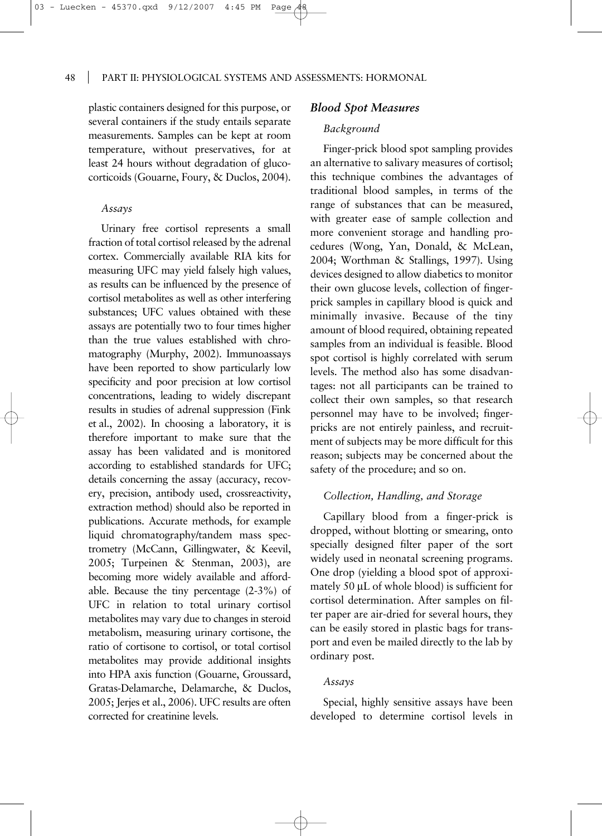plastic containers designed for this purpose, or several containers if the study entails separate measurements. Samples can be kept at room temperature, without preservatives, for at least 24 hours without degradation of glucocorticoids (Gouarne, Foury, & Duclos, 2004).

#### *Assays*

Urinary free cortisol represents a small fraction of total cortisol released by the adrenal cortex. Commercially available RIA kits for measuring UFC may yield falsely high values, as results can be influenced by the presence of cortisol metabolites as well as other interfering substances; UFC values obtained with these assays are potentially two to four times higher than the true values established with chromatography (Murphy, 2002). Immunoassays have been reported to show particularly low specificity and poor precision at low cortisol concentrations, leading to widely discrepant results in studies of adrenal suppression (Fink et al., 2002). In choosing a laboratory, it is therefore important to make sure that the assay has been validated and is monitored according to established standards for UFC; details concerning the assay (accuracy, recovery, precision, antibody used, crossreactivity, extraction method) should also be reported in publications. Accurate methods, for example liquid chromatography/tandem mass spectrometry (McCann, Gillingwater, & Keevil, 2005; Turpeinen & Stenman, 2003), are becoming more widely available and affordable. Because the tiny percentage (2-3%) of UFC in relation to total urinary cortisol metabolites may vary due to changes in steroid metabolism, measuring urinary cortisone, the ratio of cortisone to cortisol, or total cortisol metabolites may provide additional insights into HPA axis function (Gouarne, Groussard, Gratas-Delamarche, Delamarche, & Duclos, 2005; Jerjes et al., 2006). UFC results are often corrected for creatinine levels.

### *Blood Spot Measures*

# *Background*

Finger-prick blood spot sampling provides an alternative to salivary measures of cortisol; this technique combines the advantages of traditional blood samples, in terms of the range of substances that can be measured, with greater ease of sample collection and more convenient storage and handling procedures (Wong, Yan, Donald, & McLean, 2004; Worthman & Stallings, 1997). Using devices designed to allow diabetics to monitor their own glucose levels, collection of fingerprick samples in capillary blood is quick and minimally invasive. Because of the tiny amount of blood required, obtaining repeated samples from an individual is feasible. Blood spot cortisol is highly correlated with serum levels. The method also has some disadvantages: not all participants can be trained to collect their own samples, so that research personnel may have to be involved; fingerpricks are not entirely painless, and recruitment of subjects may be more difficult for this reason; subjects may be concerned about the safety of the procedure; and so on.

#### *Collection, Handling, and Storage*

Capillary blood from a finger-prick is dropped, without blotting or smearing, onto specially designed filter paper of the sort widely used in neonatal screening programs. One drop (yielding a blood spot of approximately 50 µL of whole blood) is sufficient for cortisol determination. After samples on filter paper are air-dried for several hours, they can be easily stored in plastic bags for transport and even be mailed directly to the lab by ordinary post.

## *Assays*

Special, highly sensitive assays have been developed to determine cortisol levels in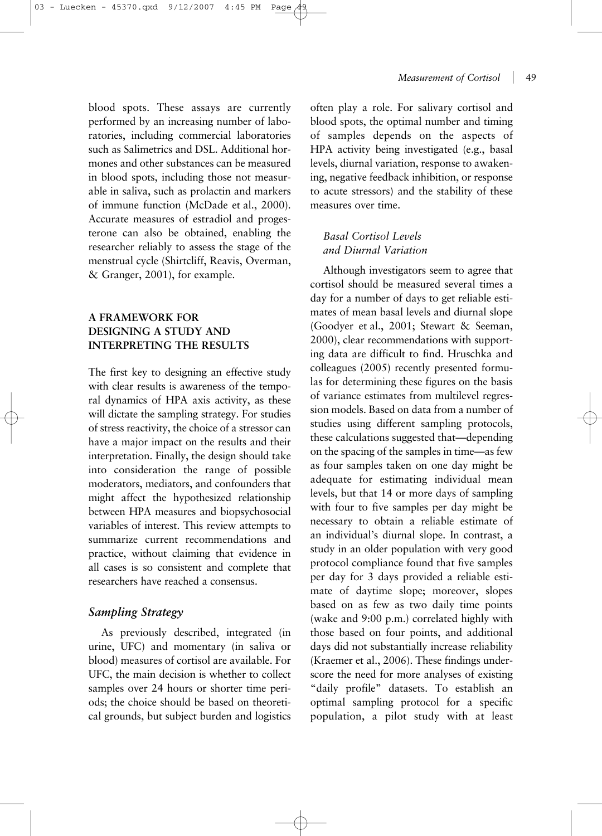blood spots. These assays are currently performed by an increasing number of laboratories, including commercial laboratories such as Salimetrics and DSL. Additional hormones and other substances can be measured in blood spots, including those not measurable in saliva, such as prolactin and markers of immune function (McDade et al., 2000). Accurate measures of estradiol and progesterone can also be obtained, enabling the researcher reliably to assess the stage of the menstrual cycle (Shirtcliff, Reavis, Overman, & Granger, 2001), for example.

# **A FRAMEWORK FOR DESIGNING A STUDY AND INTERPRETING THE RESULTS**

The first key to designing an effective study with clear results is awareness of the temporal dynamics of HPA axis activity, as these will dictate the sampling strategy. For studies of stress reactivity, the choice of a stressor can have a major impact on the results and their interpretation. Finally, the design should take into consideration the range of possible moderators, mediators, and confounders that might affect the hypothesized relationship between HPA measures and biopsychosocial variables of interest. This review attempts to summarize current recommendations and practice, without claiming that evidence in all cases is so consistent and complete that researchers have reached a consensus.

# *Sampling Strategy*

As previously described, integrated (in urine, UFC) and momentary (in saliva or blood) measures of cortisol are available. For UFC, the main decision is whether to collect samples over 24 hours or shorter time periods; the choice should be based on theoretical grounds, but subject burden and logistics often play a role. For salivary cortisol and blood spots, the optimal number and timing of samples depends on the aspects of HPA activity being investigated (e.g., basal levels, diurnal variation, response to awakening, negative feedback inhibition, or response to acute stressors) and the stability of these measures over time.

# *Basal Cortisol Levels and Diurnal Variation*

Although investigators seem to agree that cortisol should be measured several times a day for a number of days to get reliable estimates of mean basal levels and diurnal slope (Goodyer et al., 2001; Stewart & Seeman, 2000), clear recommendations with supporting data are difficult to find. Hruschka and colleagues (2005) recently presented formulas for determining these figures on the basis of variance estimates from multilevel regression models. Based on data from a number of studies using different sampling protocols, these calculations suggested that—depending on the spacing of the samples in time—as few as four samples taken on one day might be adequate for estimating individual mean levels, but that 14 or more days of sampling with four to five samples per day might be necessary to obtain a reliable estimate of an individual's diurnal slope. In contrast, a study in an older population with very good protocol compliance found that five samples per day for 3 days provided a reliable estimate of daytime slope; moreover, slopes based on as few as two daily time points (wake and 9:00 p.m.) correlated highly with those based on four points, and additional days did not substantially increase reliability (Kraemer et al., 2006). These findings underscore the need for more analyses of existing "daily profile" datasets. To establish an optimal sampling protocol for a specific population, a pilot study with at least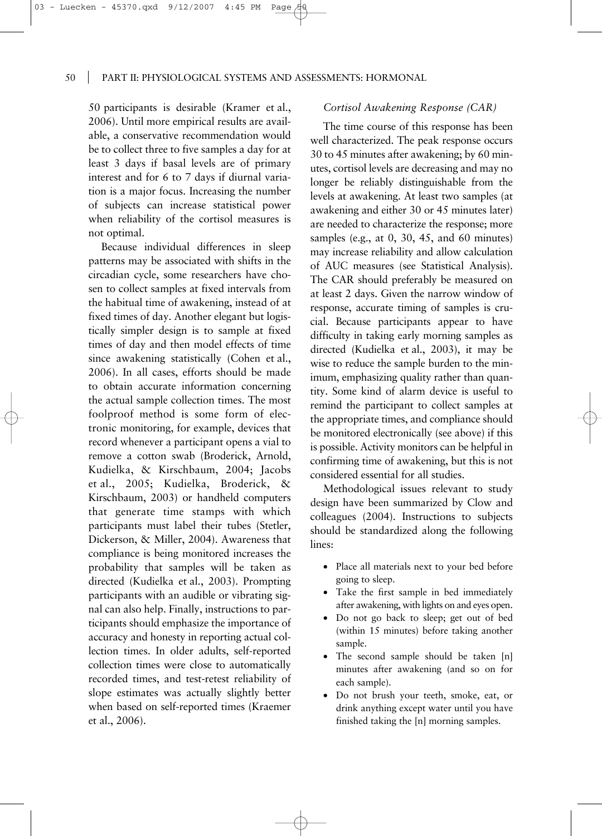50 participants is desirable (Kramer et al., 2006). Until more empirical results are available, a conservative recommendation would be to collect three to five samples a day for at least 3 days if basal levels are of primary interest and for 6 to 7 days if diurnal variation is a major focus. Increasing the number of subjects can increase statistical power when reliability of the cortisol measures is not optimal.

03 - Luecken - 45370.qxd 9/12/2007

Because individual differences in sleep patterns may be associated with shifts in the circadian cycle, some researchers have chosen to collect samples at fixed intervals from the habitual time of awakening, instead of at fixed times of day. Another elegant but logistically simpler design is to sample at fixed times of day and then model effects of time since awakening statistically (Cohen et al., 2006). In all cases, efforts should be made to obtain accurate information concerning the actual sample collection times. The most foolproof method is some form of electronic monitoring, for example, devices that record whenever a participant opens a vial to remove a cotton swab (Broderick, Arnold, Kudielka, & Kirschbaum, 2004; Jacobs et al., 2005; Kudielka, Broderick, & Kirschbaum, 2003) or handheld computers that generate time stamps with which participants must label their tubes (Stetler, Dickerson, & Miller, 2004). Awareness that compliance is being monitored increases the probability that samples will be taken as directed (Kudielka et al., 2003). Prompting participants with an audible or vibrating signal can also help. Finally, instructions to participants should emphasize the importance of accuracy and honesty in reporting actual collection times. In older adults, self-reported collection times were close to automatically recorded times, and test-retest reliability of slope estimates was actually slightly better when based on self-reported times (Kraemer et al., 2006).

# *Cortisol Awakening Response (CAR)*

The time course of this response has been well characterized. The peak response occurs 30 to 45 minutes after awakening; by 60 minutes, cortisol levels are decreasing and may no longer be reliably distinguishable from the levels at awakening. At least two samples (at awakening and either 30 or 45 minutes later) are needed to characterize the response; more samples (e.g., at 0, 30, 45, and 60 minutes) may increase reliability and allow calculation of AUC measures (see Statistical Analysis). The CAR should preferably be measured on at least 2 days. Given the narrow window of response, accurate timing of samples is crucial. Because participants appear to have difficulty in taking early morning samples as directed (Kudielka et al., 2003), it may be wise to reduce the sample burden to the minimum, emphasizing quality rather than quantity. Some kind of alarm device is useful to remind the participant to collect samples at the appropriate times, and compliance should be monitored electronically (see above) if this is possible. Activity monitors can be helpful in confirming time of awakening, but this is not considered essential for all studies.

Methodological issues relevant to study design have been summarized by Clow and colleagues (2004). Instructions to subjects should be standardized along the following lines:

- Place all materials next to your bed before going to sleep.
- Take the first sample in bed immediately after awakening, with lights on and eyes open.
- Do not go back to sleep; get out of bed (within 15 minutes) before taking another sample.
- The second sample should be taken [n] minutes after awakening (and so on for each sample).
- Do not brush your teeth, smoke, eat, or drink anything except water until you have finished taking the [n] morning samples.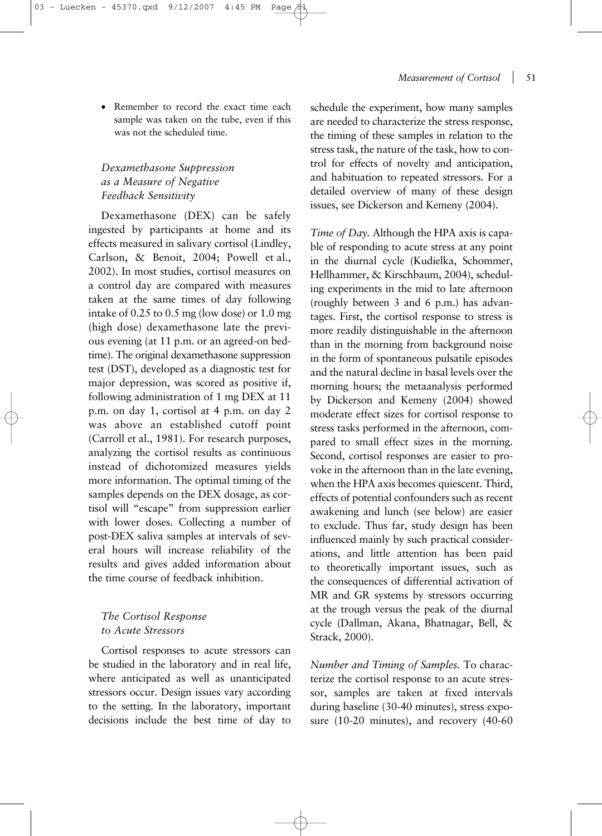#### *Measurement of Cortisol* 51

• Remember to record the exact time each sample was taken on the tube, even if this was not the scheduled time.

# *Dexamethasone Suppression as a Measure of Negative Feedback Sensitivity*

Dexamethasone (DEX) can be safely ingested by participants at home and its effects measured in salivary cortisol (Lindley, Carlson, & Benoit, 2004; Powell et al., 2002). In most studies, cortisol measures on a control day are compared with measures taken at the same times of day following intake of 0.25 to 0.5 mg (low dose) or 1.0 mg (high dose) dexamethasone late the previous evening (at 11 p.m. or an agreed-on bedtime). The original dexamethasone suppression test (DST), developed as a diagnostic test for major depression, was scored as positive if, following administration of 1 mg DEX at 11 p.m. on day 1, cortisol at 4 p.m. on day 2 was above an established cutoff point (Carroll et al., 1981). For research purposes, analyzing the cortisol results as continuous instead of dichotomized measures yields more information. The optimal timing of the samples depends on the DEX dosage, as cortisol will "escape" from suppression earlier with lower doses. Collecting a number of post-DEX saliva samples at intervals of several hours will increase reliability of the results and gives added information about the time course of feedback inhibition.

# *The Cortisol Response to Acute Stressors*

Cortisol responses to acute stressors can be studied in the laboratory and in real life, where anticipated as well as unanticipated stressors occur. Design issues vary according to the setting. In the laboratory, important decisions include the best time of day to schedule the experiment, how many samples are needed to characterize the stress response, the timing of these samples in relation to the stress task, the nature of the task, how to control for effects of novelty and anticipation, and habituation to repeated stressors. For a detailed overview of many of these design issues, see Dickerson and Kemeny (2004).

*Time of Day.* Although the HPA axis is capable of responding to acute stress at any point in the diurnal cycle (Kudielka, Schommer, Hellhammer, & Kirschbaum, 2004), scheduling experiments in the mid to late afternoon (roughly between 3 and 6 p.m.) has advantages. First, the cortisol response to stress is more readily distinguishable in the afternoon than in the morning from background noise in the form of spontaneous pulsatile episodes and the natural decline in basal levels over the morning hours; the metaanalysis performed by Dickerson and Kemeny (2004) showed moderate effect sizes for cortisol response to stress tasks performed in the afternoon, compared to small effect sizes in the morning. Second, cortisol responses are easier to provoke in the afternoon than in the late evening, when the HPA axis becomes quiescent. Third, effects of potential confounders such as recent awakening and lunch (see below) are easier to exclude. Thus far, study design has been influenced mainly by such practical considerations, and little attention has been paid to theoretically important issues, such as the consequences of differential activation of MR and GR systems by stressors occurring at the trough versus the peak of the diurnal cycle (Dallman, Akana, Bhatnagar, Bell, & Strack, 2000).

*Number and Timing of Samples.* To characterize the cortisol response to an acute stressor, samples are taken at fixed intervals during baseline (30-40 minutes), stress exposure (10-20 minutes), and recovery (40-60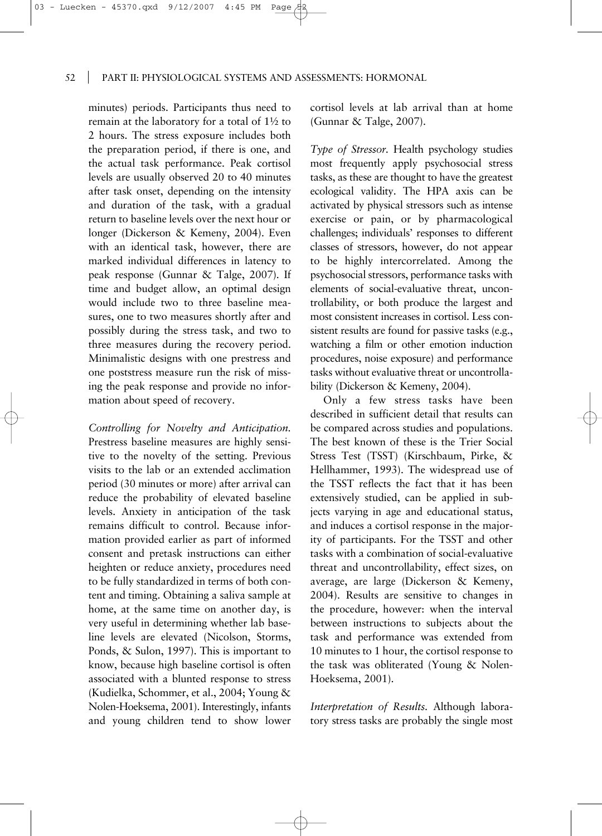minutes) periods. Participants thus need to remain at the laboratory for a total of 1½ to 2 hours. The stress exposure includes both the preparation period, if there is one, and the actual task performance. Peak cortisol levels are usually observed 20 to 40 minutes after task onset, depending on the intensity and duration of the task, with a gradual return to baseline levels over the next hour or longer (Dickerson & Kemeny, 2004). Even with an identical task, however, there are marked individual differences in latency to peak response (Gunnar & Talge, 2007). If time and budget allow, an optimal design would include two to three baseline measures, one to two measures shortly after and possibly during the stress task, and two to three measures during the recovery period. Minimalistic designs with one prestress and one poststress measure run the risk of missing the peak response and provide no information about speed of recovery.

03 - Luecken - 45370.qxd 9/12/2007

*Controlling for Novelty and Anticipation.* Prestress baseline measures are highly sensitive to the novelty of the setting. Previous visits to the lab or an extended acclimation period (30 minutes or more) after arrival can reduce the probability of elevated baseline levels. Anxiety in anticipation of the task remains difficult to control. Because information provided earlier as part of informed consent and pretask instructions can either heighten or reduce anxiety, procedures need to be fully standardized in terms of both content and timing. Obtaining a saliva sample at home, at the same time on another day, is very useful in determining whether lab baseline levels are elevated (Nicolson, Storms, Ponds, & Sulon, 1997). This is important to know, because high baseline cortisol is often associated with a blunted response to stress (Kudielka, Schommer, et al., 2004; Young & Nolen-Hoeksema, 2001). Interestingly, infants and young children tend to show lower cortisol levels at lab arrival than at home (Gunnar & Talge, 2007).

*Type of Stressor.* Health psychology studies most frequently apply psychosocial stress tasks, as these are thought to have the greatest ecological validity. The HPA axis can be activated by physical stressors such as intense exercise or pain, or by pharmacological challenges; individuals' responses to different classes of stressors, however, do not appear to be highly intercorrelated. Among the psychosocial stressors, performance tasks with elements of social-evaluative threat, uncontrollability, or both produce the largest and most consistent increases in cortisol. Less consistent results are found for passive tasks (e.g., watching a film or other emotion induction procedures, noise exposure) and performance tasks without evaluative threat or uncontrollability (Dickerson & Kemeny, 2004).

Only a few stress tasks have been described in sufficient detail that results can be compared across studies and populations. The best known of these is the Trier Social Stress Test (TSST) (Kirschbaum, Pirke, & Hellhammer, 1993). The widespread use of the TSST reflects the fact that it has been extensively studied, can be applied in subjects varying in age and educational status, and induces a cortisol response in the majority of participants. For the TSST and other tasks with a combination of social-evaluative threat and uncontrollability, effect sizes, on average, are large (Dickerson & Kemeny, 2004). Results are sensitive to changes in the procedure, however: when the interval between instructions to subjects about the task and performance was extended from 10 minutes to 1 hour, the cortisol response to the task was obliterated (Young & Nolen-Hoeksema, 2001).

*Interpretation of Results.* Although laboratory stress tasks are probably the single most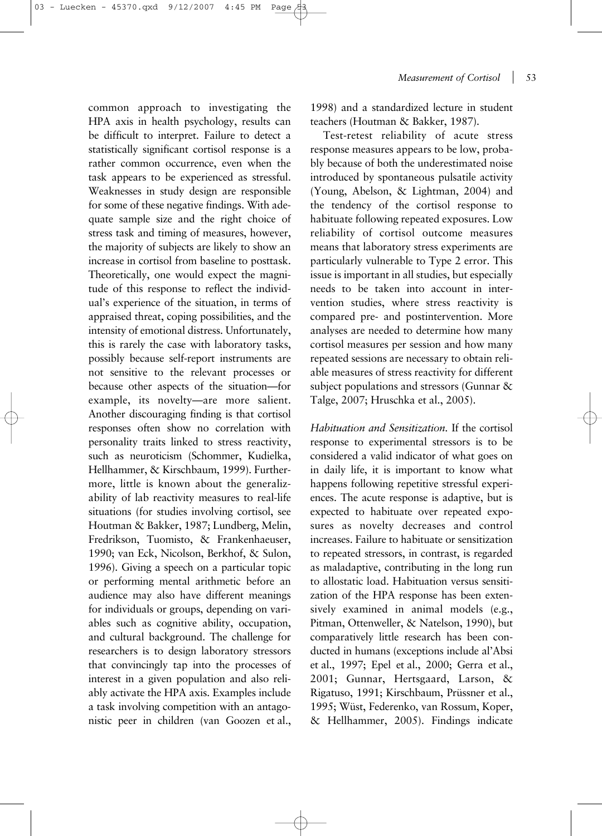common approach to investigating the HPA axis in health psychology, results can be difficult to interpret. Failure to detect a statistically significant cortisol response is a rather common occurrence, even when the task appears to be experienced as stressful. Weaknesses in study design are responsible for some of these negative findings. With adequate sample size and the right choice of stress task and timing of measures, however, the majority of subjects are likely to show an increase in cortisol from baseline to posttask. Theoretically, one would expect the magnitude of this response to reflect the individual's experience of the situation, in terms of appraised threat, coping possibilities, and the intensity of emotional distress. Unfortunately, this is rarely the case with laboratory tasks, possibly because self-report instruments are not sensitive to the relevant processes or because other aspects of the situation—for example, its novelty—are more salient. Another discouraging finding is that cortisol responses often show no correlation with personality traits linked to stress reactivity, such as neuroticism (Schommer, Kudielka, Hellhammer, & Kirschbaum, 1999). Furthermore, little is known about the generaliz-

ability of lab reactivity measures to real-life situations (for studies involving cortisol, see Houtman & Bakker, 1987; Lundberg, Melin, Fredrikson, Tuomisto, & Frankenhaeuser, 1990; van Eck, Nicolson, Berkhof, & Sulon, 1996). Giving a speech on a particular topic or performing mental arithmetic before an audience may also have different meanings for individuals or groups, depending on variables such as cognitive ability, occupation, and cultural background. The challenge for researchers is to design laboratory stressors that convincingly tap into the processes of interest in a given population and also reliably activate the HPA axis. Examples include a task involving competition with an antagonistic peer in children (van Goozen et al.,

1998) and a standardized lecture in student teachers (Houtman & Bakker, 1987).

Test-retest reliability of acute stress response measures appears to be low, probably because of both the underestimated noise introduced by spontaneous pulsatile activity (Young, Abelson, & Lightman, 2004) and the tendency of the cortisol response to habituate following repeated exposures. Low reliability of cortisol outcome measures means that laboratory stress experiments are particularly vulnerable to Type 2 error. This issue is important in all studies, but especially needs to be taken into account in intervention studies, where stress reactivity is compared pre- and postintervention. More analyses are needed to determine how many cortisol measures per session and how many repeated sessions are necessary to obtain reliable measures of stress reactivity for different subject populations and stressors (Gunnar & Talge, 2007; Hruschka et al., 2005).

*Habituation and Sensitization.* If the cortisol response to experimental stressors is to be considered a valid indicator of what goes on in daily life, it is important to know what happens following repetitive stressful experiences. The acute response is adaptive, but is expected to habituate over repeated exposures as novelty decreases and control increases. Failure to habituate or sensitization to repeated stressors, in contrast, is regarded as maladaptive, contributing in the long run to allostatic load. Habituation versus sensitization of the HPA response has been extensively examined in animal models (e.g., Pitman, Ottenweller, & Natelson, 1990), but comparatively little research has been conducted in humans (exceptions include al'Absi et al., 1997; Epel et al., 2000; Gerra et al., 2001; Gunnar, Hertsgaard, Larson, & Rigatuso, 1991; Kirschbaum, Prüssner et al., 1995; Wüst, Federenko, van Rossum, Koper, & Hellhammer, 2005). Findings indicate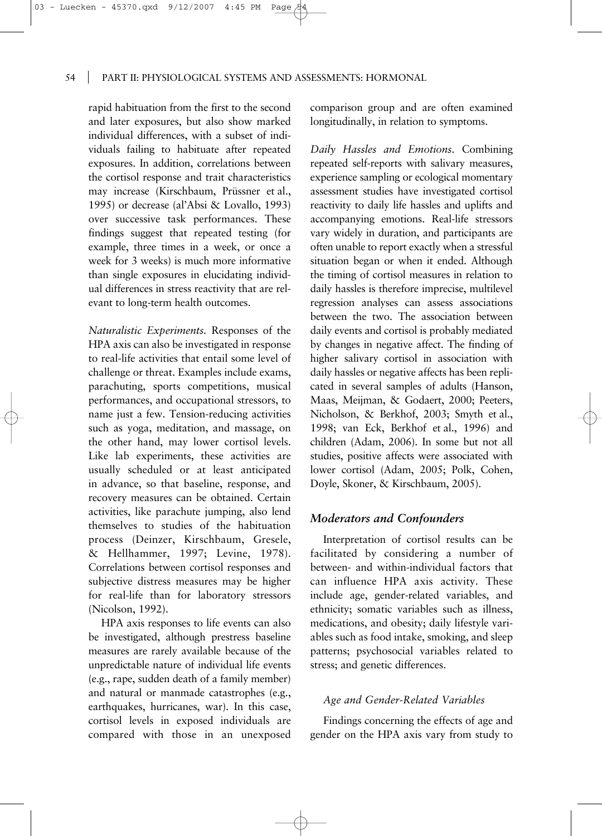rapid habituation from the first to the second and later exposures, but also show marked individual differences, with a subset of individuals failing to habituate after repeated exposures. In addition, correlations between the cortisol response and trait characteristics may increase (Kirschbaum, Prüssner et al., 1995) or decrease (al'Absi & Lovallo, 1993) over successive task performances. These findings suggest that repeated testing (for example, three times in a week, or once a week for 3 weeks) is much more informative than single exposures in elucidating individual differences in stress reactivity that are relevant to long-term health outcomes.

*Naturalistic Experiments.* Responses of the HPA axis can also be investigated in response to real-life activities that entail some level of challenge or threat. Examples include exams, parachuting, sports competitions, musical performances, and occupational stressors, to name just a few. Tension-reducing activities such as yoga, meditation, and massage, on the other hand, may lower cortisol levels. Like lab experiments, these activities are usually scheduled or at least anticipated in advance, so that baseline, response, and recovery measures can be obtained. Certain activities, like parachute jumping, also lend themselves to studies of the habituation process (Deinzer, Kirschbaum, Gresele, & Hellhammer, 1997; Levine, 1978). Correlations between cortisol responses and subjective distress measures may be higher for real-life than for laboratory stressors (Nicolson, 1992).

HPA axis responses to life events can also be investigated, although prestress baseline measures are rarely available because of the unpredictable nature of individual life events (e.g., rape, sudden death of a family member) and natural or manmade catastrophes (e.g., earthquakes, hurricanes, war). In this case, cortisol levels in exposed individuals are compared with those in an unexposed

comparison group and are often examined longitudinally, in relation to symptoms.

*Daily Hassles and Emotions.* Combining repeated self-reports with salivary measures, experience sampling or ecological momentary assessment studies have investigated cortisol reactivity to daily life hassles and uplifts and accompanying emotions. Real-life stressors vary widely in duration, and participants are often unable to report exactly when a stressful situation began or when it ended. Although the timing of cortisol measures in relation to daily hassles is therefore imprecise, multilevel regression analyses can assess associations between the two. The association between daily events and cortisol is probably mediated by changes in negative affect. The finding of higher salivary cortisol in association with daily hassles or negative affects has been replicated in several samples of adults (Hanson, Maas, Meijman, & Godaert, 2000; Peeters, Nicholson, & Berkhof, 2003; Smyth et al., 1998; van Eck, Berkhof et al., 1996) and children (Adam, 2006). In some but not all studies, positive affects were associated with lower cortisol (Adam, 2005; Polk, Cohen, Doyle, Skoner, & Kirschbaum, 2005).

# *Moderators and Confounders*

Interpretation of cortisol results can be facilitated by considering a number of between- and within-individual factors that can influence HPA axis activity. These include age, gender-related variables, and ethnicity; somatic variables such as illness, medications, and obesity; daily lifestyle variables such as food intake, smoking, and sleep patterns; psychosocial variables related to stress; and genetic differences.

# *Age and Gender-Related Variables*

Findings concerning the effects of age and gender on the HPA axis vary from study to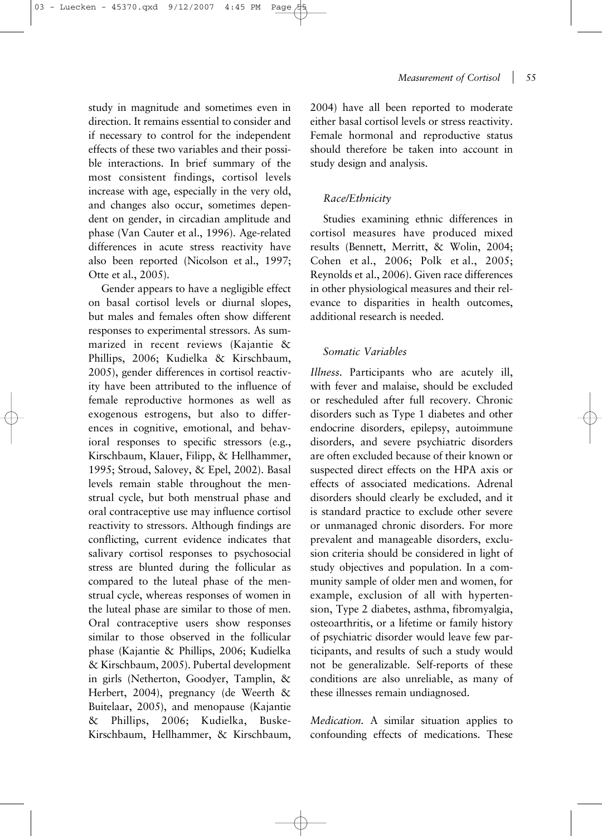study in magnitude and sometimes even in direction. It remains essential to consider and if necessary to control for the independent effects of these two variables and their possible interactions. In brief summary of the most consistent findings, cortisol levels increase with age, especially in the very old, and changes also occur, sometimes dependent on gender, in circadian amplitude and phase (Van Cauter et al., 1996). Age-related differences in acute stress reactivity have also been reported (Nicolson et al., 1997; Otte et al., 2005).

Gender appears to have a negligible effect on basal cortisol levels or diurnal slopes, but males and females often show different responses to experimental stressors. As summarized in recent reviews (Kajantie & Phillips, 2006; Kudielka & Kirschbaum, 2005), gender differences in cortisol reactivity have been attributed to the influence of female reproductive hormones as well as exogenous estrogens, but also to differences in cognitive, emotional, and behavioral responses to specific stressors (e.g., Kirschbaum, Klauer, Filipp, & Hellhammer, 1995; Stroud, Salovey, & Epel, 2002). Basal levels remain stable throughout the menstrual cycle, but both menstrual phase and oral contraceptive use may influence cortisol reactivity to stressors. Although findings are conflicting, current evidence indicates that salivary cortisol responses to psychosocial stress are blunted during the follicular as compared to the luteal phase of the menstrual cycle, whereas responses of women in the luteal phase are similar to those of men. Oral contraceptive users show responses similar to those observed in the follicular phase (Kajantie & Phillips, 2006; Kudielka & Kirschbaum, 2005). Pubertal development in girls (Netherton, Goodyer, Tamplin, & Herbert, 2004), pregnancy (de Weerth & Buitelaar, 2005), and menopause (Kajantie & Phillips, 2006; Kudielka, Buske-Kirschbaum, Hellhammer, & Kirschbaum,

2004) have all been reported to moderate either basal cortisol levels or stress reactivity. Female hormonal and reproductive status should therefore be taken into account in study design and analysis.

## *Race/Ethnicity*

Studies examining ethnic differences in cortisol measures have produced mixed results (Bennett, Merritt, & Wolin, 2004; Cohen et al., 2006; Polk et al., 2005; Reynolds et al., 2006). Given race differences in other physiological measures and their relevance to disparities in health outcomes, additional research is needed.

# *Somatic Variables*

*Illness.* Participants who are acutely ill, with fever and malaise, should be excluded or rescheduled after full recovery. Chronic disorders such as Type 1 diabetes and other endocrine disorders, epilepsy, autoimmune disorders, and severe psychiatric disorders are often excluded because of their known or suspected direct effects on the HPA axis or effects of associated medications. Adrenal disorders should clearly be excluded, and it is standard practice to exclude other severe or unmanaged chronic disorders. For more prevalent and manageable disorders, exclusion criteria should be considered in light of study objectives and population. In a community sample of older men and women, for example, exclusion of all with hypertension, Type 2 diabetes, asthma, fibromyalgia, osteoarthritis, or a lifetime or family history of psychiatric disorder would leave few participants, and results of such a study would not be generalizable. Self-reports of these conditions are also unreliable, as many of these illnesses remain undiagnosed.

*Medication.* A similar situation applies to confounding effects of medications. These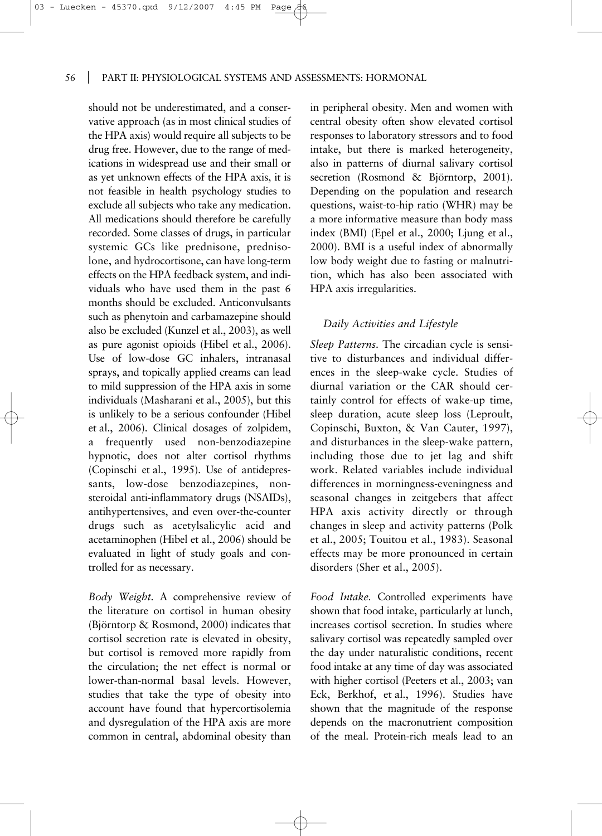should not be underestimated, and a conservative approach (as in most clinical studies of the HPA axis) would require all subjects to be drug free. However, due to the range of medications in widespread use and their small or as yet unknown effects of the HPA axis, it is not feasible in health psychology studies to exclude all subjects who take any medication. All medications should therefore be carefully recorded. Some classes of drugs, in particular systemic GCs like prednisone, prednisolone, and hydrocortisone, can have long-term effects on the HPA feedback system, and individuals who have used them in the past 6 months should be excluded. Anticonvulsants such as phenytoin and carbamazepine should also be excluded (Kunzel et al., 2003), as well as pure agonist opioids (Hibel et al., 2006). Use of low-dose GC inhalers, intranasal sprays, and topically applied creams can lead to mild suppression of the HPA axis in some individuals (Masharani et al., 2005), but this is unlikely to be a serious confounder (Hibel et al., 2006). Clinical dosages of zolpidem, a frequently used non-benzodiazepine hypnotic, does not alter cortisol rhythms (Copinschi et al., 1995). Use of antidepressants, low-dose benzodiazepines, nonsteroidal anti-inflammatory drugs (NSAIDs), antihypertensives, and even over-the-counter drugs such as acetylsalicylic acid and acetaminophen (Hibel et al., 2006) should be evaluated in light of study goals and controlled for as necessary.

*Body Weight.* A comprehensive review of the literature on cortisol in human obesity (Björntorp & Rosmond, 2000) indicates that cortisol secretion rate is elevated in obesity, but cortisol is removed more rapidly from the circulation; the net effect is normal or lower-than-normal basal levels. However, studies that take the type of obesity into account have found that hypercortisolemia and dysregulation of the HPA axis are more common in central, abdominal obesity than

in peripheral obesity. Men and women with central obesity often show elevated cortisol responses to laboratory stressors and to food intake, but there is marked heterogeneity, also in patterns of diurnal salivary cortisol secretion (Rosmond & Björntorp, 2001). Depending on the population and research questions, waist-to-hip ratio (WHR) may be a more informative measure than body mass index (BMI) (Epel et al., 2000; Ljung et al., 2000). BMI is a useful index of abnormally low body weight due to fasting or malnutrition, which has also been associated with HPA axis irregularities.

#### *Daily Activities and Lifestyle*

*Sleep Patterns.* The circadian cycle is sensitive to disturbances and individual differences in the sleep-wake cycle. Studies of diurnal variation or the CAR should certainly control for effects of wake-up time, sleep duration, acute sleep loss (Leproult, Copinschi, Buxton, & Van Cauter, 1997), and disturbances in the sleep-wake pattern, including those due to jet lag and shift work. Related variables include individual differences in morningness-eveningness and seasonal changes in zeitgebers that affect HPA axis activity directly or through changes in sleep and activity patterns (Polk et al., 2005; Touitou et al., 1983). Seasonal effects may be more pronounced in certain disorders (Sher et al., 2005).

*Food Intake.* Controlled experiments have shown that food intake, particularly at lunch, increases cortisol secretion. In studies where salivary cortisol was repeatedly sampled over the day under naturalistic conditions, recent food intake at any time of day was associated with higher cortisol (Peeters et al., 2003; van Eck, Berkhof, et al., 1996). Studies have shown that the magnitude of the response depends on the macronutrient composition of the meal. Protein-rich meals lead to an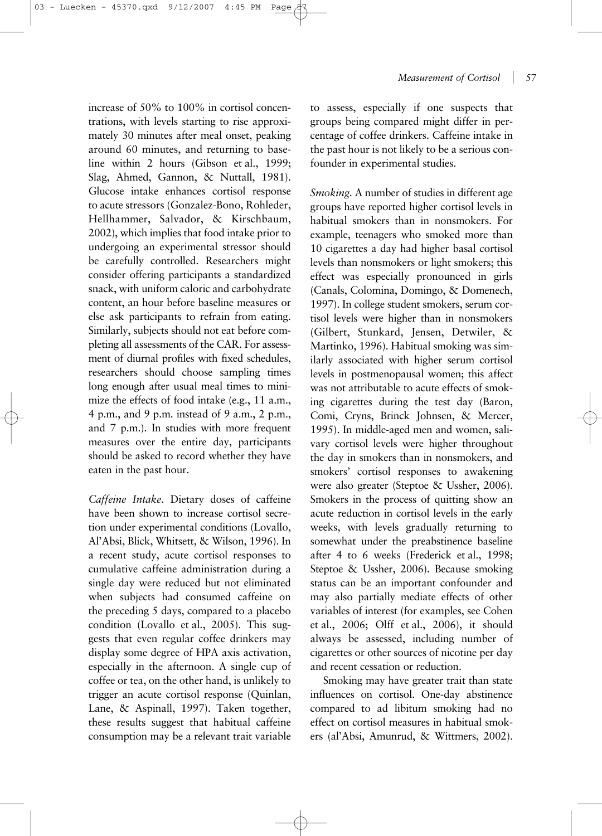increase of 50% to 100% in cortisol concentrations, with levels starting to rise approximately 30 minutes after meal onset, peaking around 60 minutes, and returning to baseline within 2 hours (Gibson et al., 1999; Slag, Ahmed, Gannon, & Nuttall, 1981). Glucose intake enhances cortisol response to acute stressors (Gonzalez-Bono, Rohleder, Hellhammer, Salvador, & Kirschbaum, 2002), which implies that food intake prior to undergoing an experimental stressor should be carefully controlled. Researchers might consider offering participants a standardized snack, with uniform caloric and carbohydrate content, an hour before baseline measures or else ask participants to refrain from eating. Similarly, subjects should not eat before completing all assessments of the CAR. For assessment of diurnal profiles with fixed schedules, researchers should choose sampling times long enough after usual meal times to minimize the effects of food intake (e.g., 11 a.m., 4 p.m., and 9 p.m. instead of 9 a.m., 2 p.m., and 7 p.m.). In studies with more frequent measures over the entire day, participants should be asked to record whether they have eaten in the past hour.

*Caffeine Intake.* Dietary doses of caffeine have been shown to increase cortisol secretion under experimental conditions (Lovallo, Al'Absi, Blick, Whitsett, & Wilson, 1996). In a recent study, acute cortisol responses to cumulative caffeine administration during a single day were reduced but not eliminated when subjects had consumed caffeine on the preceding 5 days, compared to a placebo condition (Lovallo et al., 2005). This suggests that even regular coffee drinkers may display some degree of HPA axis activation, especially in the afternoon. A single cup of coffee or tea, on the other hand, is unlikely to trigger an acute cortisol response (Quinlan, Lane, & Aspinall, 1997). Taken together, these results suggest that habitual caffeine consumption may be a relevant trait variable to assess, especially if one suspects that groups being compared might differ in percentage of coffee drinkers. Caffeine intake in the past hour is not likely to be a serious confounder in experimental studies.

*Smoking.* A number of studies in different age groups have reported higher cortisol levels in habitual smokers than in nonsmokers. For example, teenagers who smoked more than 10 cigarettes a day had higher basal cortisol levels than nonsmokers or light smokers; this effect was especially pronounced in girls (Canals, Colomina, Domingo, & Domenech, 1997). In college student smokers, serum cortisol levels were higher than in nonsmokers (Gilbert, Stunkard, Jensen, Detwiler, & Martinko, 1996). Habitual smoking was similarly associated with higher serum cortisol levels in postmenopausal women; this affect was not attributable to acute effects of smoking cigarettes during the test day (Baron, Comi, Cryns, Brinck Johnsen, & Mercer, 1995). In middle-aged men and women, salivary cortisol levels were higher throughout the day in smokers than in nonsmokers, and smokers' cortisol responses to awakening were also greater (Steptoe & Ussher, 2006). Smokers in the process of quitting show an acute reduction in cortisol levels in the early weeks, with levels gradually returning to somewhat under the preabstinence baseline after 4 to 6 weeks (Frederick et al., 1998; Steptoe & Ussher, 2006). Because smoking status can be an important confounder and may also partially mediate effects of other variables of interest (for examples, see Cohen et al., 2006; Olff et al., 2006), it should always be assessed, including number of cigarettes or other sources of nicotine per day and recent cessation or reduction.

Smoking may have greater trait than state influences on cortisol. One-day abstinence compared to ad libitum smoking had no effect on cortisol measures in habitual smokers (al'Absi, Amunrud, & Wittmers, 2002).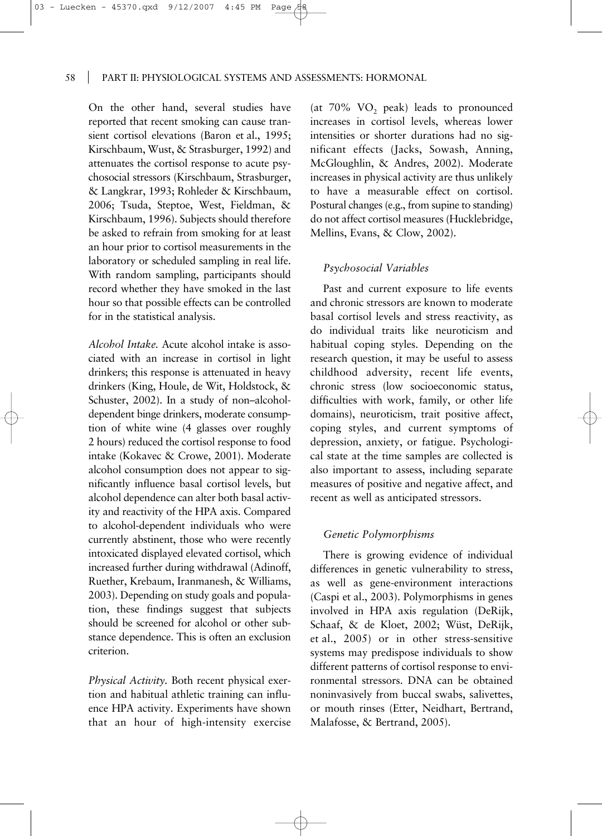On the other hand, several studies have reported that recent smoking can cause transient cortisol elevations (Baron et al., 1995; Kirschbaum, Wust, & Strasburger, 1992) and attenuates the cortisol response to acute psychosocial stressors (Kirschbaum, Strasburger, & Langkrar, 1993; Rohleder & Kirschbaum, 2006; Tsuda, Steptoe, West, Fieldman, & Kirschbaum, 1996). Subjects should therefore be asked to refrain from smoking for at least an hour prior to cortisol measurements in the laboratory or scheduled sampling in real life. With random sampling, participants should record whether they have smoked in the last hour so that possible effects can be controlled for in the statistical analysis.

*Alcohol Intake.* Acute alcohol intake is associated with an increase in cortisol in light drinkers; this response is attenuated in heavy drinkers (King, Houle, de Wit, Holdstock, & Schuster, 2002). In a study of non–alcoholdependent binge drinkers, moderate consumption of white wine (4 glasses over roughly 2 hours) reduced the cortisol response to food intake (Kokavec & Crowe, 2001). Moderate alcohol consumption does not appear to significantly influence basal cortisol levels, but alcohol dependence can alter both basal activity and reactivity of the HPA axis. Compared to alcohol-dependent individuals who were currently abstinent, those who were recently intoxicated displayed elevated cortisol, which increased further during withdrawal (Adinoff, Ruether, Krebaum, Iranmanesh, & Williams, 2003). Depending on study goals and population, these findings suggest that subjects should be screened for alcohol or other substance dependence. This is often an exclusion criterion.

*Physical Activity.* Both recent physical exertion and habitual athletic training can influence HPA activity. Experiments have shown that an hour of high-intensity exercise

(at  $70\%$  VO<sub>2</sub> peak) leads to pronounced increases in cortisol levels, whereas lower intensities or shorter durations had no significant effects (Jacks, Sowash, Anning, McGloughlin, & Andres, 2002). Moderate increases in physical activity are thus unlikely to have a measurable effect on cortisol. Postural changes (e.g., from supine to standing) do not affect cortisol measures (Hucklebridge, Mellins, Evans, & Clow, 2002).

## *Psychosocial Variables*

Past and current exposure to life events and chronic stressors are known to moderate basal cortisol levels and stress reactivity, as do individual traits like neuroticism and habitual coping styles. Depending on the research question, it may be useful to assess childhood adversity, recent life events, chronic stress (low socioeconomic status, difficulties with work, family, or other life domains), neuroticism, trait positive affect, coping styles, and current symptoms of depression, anxiety, or fatigue. Psychological state at the time samples are collected is also important to assess, including separate measures of positive and negative affect, and recent as well as anticipated stressors.

#### *Genetic Polymorphisms*

There is growing evidence of individual differences in genetic vulnerability to stress, as well as gene-environment interactions (Caspi et al., 2003). Polymorphisms in genes involved in HPA axis regulation (DeRijk, Schaaf, & de Kloet, 2002; Wüst, DeRijk, et al., 2005) or in other stress-sensitive systems may predispose individuals to show different patterns of cortisol response to environmental stressors. DNA can be obtained noninvasively from buccal swabs, salivettes, or mouth rinses (Etter, Neidhart, Bertrand, Malafosse, & Bertrand, 2005).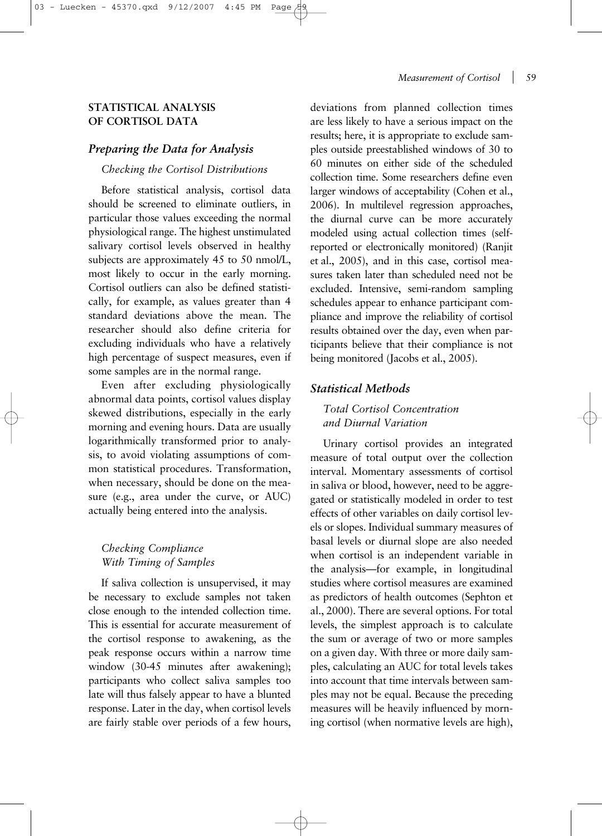#### *Measurement of Cortisol* | 59

# **STATISTICAL ANALYSIS OF CORTISOL DATA**

# *Preparing the Data for Analysis*

## *Checking the Cortisol Distributions*

Before statistical analysis, cortisol data should be screened to eliminate outliers, in particular those values exceeding the normal physiological range. The highest unstimulated salivary cortisol levels observed in healthy subjects are approximately 45 to 50 nmol/L, most likely to occur in the early morning. Cortisol outliers can also be defined statistically, for example, as values greater than 4 standard deviations above the mean. The researcher should also define criteria for excluding individuals who have a relatively high percentage of suspect measures, even if some samples are in the normal range.

Even after excluding physiologically abnormal data points, cortisol values display skewed distributions, especially in the early morning and evening hours. Data are usually logarithmically transformed prior to analysis, to avoid violating assumptions of common statistical procedures. Transformation, when necessary, should be done on the measure (e.g., area under the curve, or AUC) actually being entered into the analysis.

# *Checking Compliance With Timing of Samples*

If saliva collection is unsupervised, it may be necessary to exclude samples not taken close enough to the intended collection time. This is essential for accurate measurement of the cortisol response to awakening, as the peak response occurs within a narrow time window (30-45 minutes after awakening); participants who collect saliva samples too late will thus falsely appear to have a blunted response. Later in the day, when cortisol levels are fairly stable over periods of a few hours,

deviations from planned collection times are less likely to have a serious impact on the results; here, it is appropriate to exclude samples outside preestablished windows of 30 to 60 minutes on either side of the scheduled collection time. Some researchers define even larger windows of acceptability (Cohen et al., 2006). In multilevel regression approaches, the diurnal curve can be more accurately modeled using actual collection times (selfreported or electronically monitored) (Ranjit et al., 2005), and in this case, cortisol measures taken later than scheduled need not be excluded. Intensive, semi-random sampling schedules appear to enhance participant compliance and improve the reliability of cortisol results obtained over the day, even when participants believe that their compliance is not being monitored (Jacobs et al., 2005).

# *Statistical Methods*

# *Total Cortisol Concentration and Diurnal Variation*

Urinary cortisol provides an integrated measure of total output over the collection interval. Momentary assessments of cortisol in saliva or blood, however, need to be aggregated or statistically modeled in order to test effects of other variables on daily cortisol levels or slopes. Individual summary measures of basal levels or diurnal slope are also needed when cortisol is an independent variable in the analysis—for example, in longitudinal studies where cortisol measures are examined as predictors of health outcomes (Sephton et al., 2000). There are several options. For total levels, the simplest approach is to calculate the sum or average of two or more samples on a given day. With three or more daily samples, calculating an AUC for total levels takes into account that time intervals between samples may not be equal. Because the preceding measures will be heavily influenced by morning cortisol (when normative levels are high),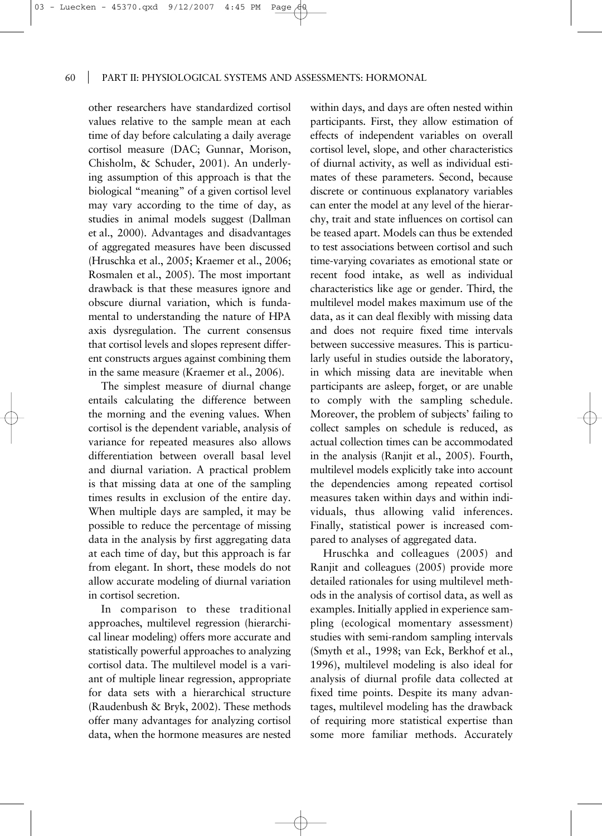other researchers have standardized cortisol values relative to the sample mean at each time of day before calculating a daily average cortisol measure (DAC; Gunnar, Morison, Chisholm, & Schuder, 2001). An underlying assumption of this approach is that the biological "meaning" of a given cortisol level may vary according to the time of day, as studies in animal models suggest (Dallman et al., 2000). Advantages and disadvantages of aggregated measures have been discussed (Hruschka et al., 2005; Kraemer et al., 2006; Rosmalen et al., 2005). The most important drawback is that these measures ignore and obscure diurnal variation, which is fundamental to understanding the nature of HPA axis dysregulation. The current consensus that cortisol levels and slopes represent different constructs argues against combining them in the same measure (Kraemer et al., 2006).

The simplest measure of diurnal change entails calculating the difference between the morning and the evening values. When cortisol is the dependent variable, analysis of variance for repeated measures also allows differentiation between overall basal level and diurnal variation. A practical problem is that missing data at one of the sampling times results in exclusion of the entire day. When multiple days are sampled, it may be possible to reduce the percentage of missing data in the analysis by first aggregating data at each time of day, but this approach is far from elegant. In short, these models do not allow accurate modeling of diurnal variation in cortisol secretion.

In comparison to these traditional approaches, multilevel regression (hierarchical linear modeling) offers more accurate and statistically powerful approaches to analyzing cortisol data. The multilevel model is a variant of multiple linear regression, appropriate for data sets with a hierarchical structure (Raudenbush & Bryk, 2002). These methods offer many advantages for analyzing cortisol data, when the hormone measures are nested

within days, and days are often nested within participants. First, they allow estimation of effects of independent variables on overall cortisol level, slope, and other characteristics of diurnal activity, as well as individual estimates of these parameters. Second, because discrete or continuous explanatory variables can enter the model at any level of the hierarchy, trait and state influences on cortisol can be teased apart. Models can thus be extended to test associations between cortisol and such time-varying covariates as emotional state or recent food intake, as well as individual characteristics like age or gender. Third, the multilevel model makes maximum use of the data, as it can deal flexibly with missing data and does not require fixed time intervals between successive measures. This is particularly useful in studies outside the laboratory, in which missing data are inevitable when participants are asleep, forget, or are unable to comply with the sampling schedule. Moreover, the problem of subjects' failing to collect samples on schedule is reduced, as actual collection times can be accommodated in the analysis (Ranjit et al., 2005). Fourth, multilevel models explicitly take into account the dependencies among repeated cortisol measures taken within days and within individuals, thus allowing valid inferences. Finally, statistical power is increased compared to analyses of aggregated data.

Hruschka and colleagues (2005) and Ranjit and colleagues (2005) provide more detailed rationales for using multilevel methods in the analysis of cortisol data, as well as examples. Initially applied in experience sampling (ecological momentary assessment) studies with semi-random sampling intervals (Smyth et al., 1998; van Eck, Berkhof et al., 1996), multilevel modeling is also ideal for analysis of diurnal profile data collected at fixed time points. Despite its many advantages, multilevel modeling has the drawback of requiring more statistical expertise than some more familiar methods. Accurately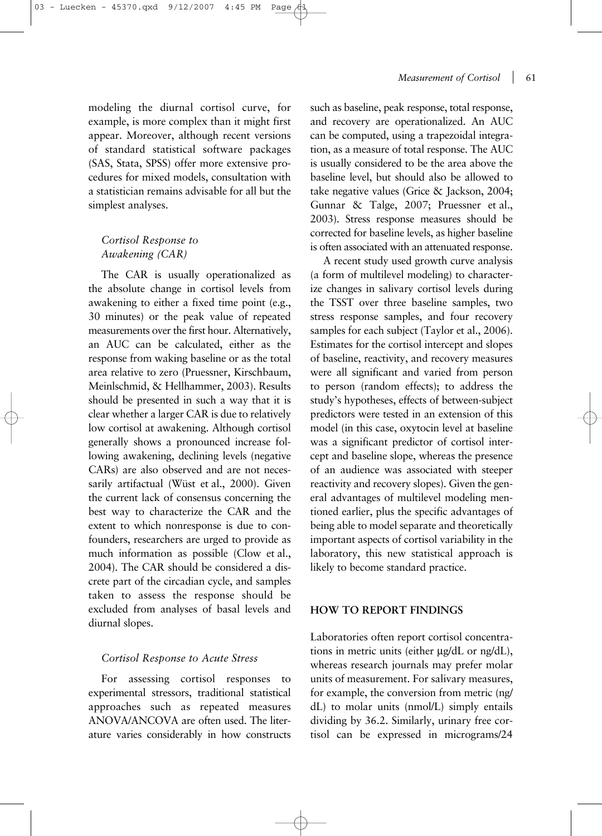*Measurement of Cortisol* 61

modeling the diurnal cortisol curve, for example, is more complex than it might first appear. Moreover, although recent versions of standard statistical software packages (SAS, Stata, SPSS) offer more extensive procedures for mixed models, consultation with a statistician remains advisable for all but the simplest analyses.

# *Cortisol Response to Awakening (CAR)*

The CAR is usually operationalized as the absolute change in cortisol levels from awakening to either a fixed time point (e.g., 30 minutes) or the peak value of repeated measurements over the first hour. Alternatively, an AUC can be calculated, either as the response from waking baseline or as the total area relative to zero (Pruessner, Kirschbaum, Meinlschmid, & Hellhammer, 2003). Results should be presented in such a way that it is clear whether a larger CAR is due to relatively low cortisol at awakening. Although cortisol generally shows a pronounced increase following awakening, declining levels (negative CARs) are also observed and are not necessarily artifactual (Wüst et al., 2000). Given the current lack of consensus concerning the best way to characterize the CAR and the extent to which nonresponse is due to confounders, researchers are urged to provide as much information as possible (Clow et al., 2004). The CAR should be considered a discrete part of the circadian cycle, and samples taken to assess the response should be excluded from analyses of basal levels and diurnal slopes.

## *Cortisol Response to Acute Stress*

For assessing cortisol responses to experimental stressors, traditional statistical approaches such as repeated measures ANOVA/ANCOVA are often used. The literature varies considerably in how constructs

such as baseline, peak response, total response, and recovery are operationalized. An AUC can be computed, using a trapezoidal integration, as a measure of total response. The AUC is usually considered to be the area above the baseline level, but should also be allowed to take negative values (Grice & Jackson, 2004; Gunnar & Talge, 2007; Pruessner et al., 2003). Stress response measures should be corrected for baseline levels, as higher baseline is often associated with an attenuated response.

A recent study used growth curve analysis (a form of multilevel modeling) to characterize changes in salivary cortisol levels during the TSST over three baseline samples, two stress response samples, and four recovery samples for each subject (Taylor et al., 2006). Estimates for the cortisol intercept and slopes of baseline, reactivity, and recovery measures were all significant and varied from person to person (random effects); to address the study's hypotheses, effects of between-subject predictors were tested in an extension of this model (in this case, oxytocin level at baseline was a significant predictor of cortisol intercept and baseline slope, whereas the presence of an audience was associated with steeper reactivity and recovery slopes). Given the general advantages of multilevel modeling mentioned earlier, plus the specific advantages of being able to model separate and theoretically important aspects of cortisol variability in the laboratory, this new statistical approach is likely to become standard practice.

#### **HOW TO REPORT FINDINGS**

Laboratories often report cortisol concentrations in metric units (either µg/dL or ng/dL), whereas research journals may prefer molar units of measurement. For salivary measures, for example, the conversion from metric (ng/ dL) to molar units (nmol/L) simply entails dividing by 36.2. Similarly, urinary free cortisol can be expressed in micrograms/24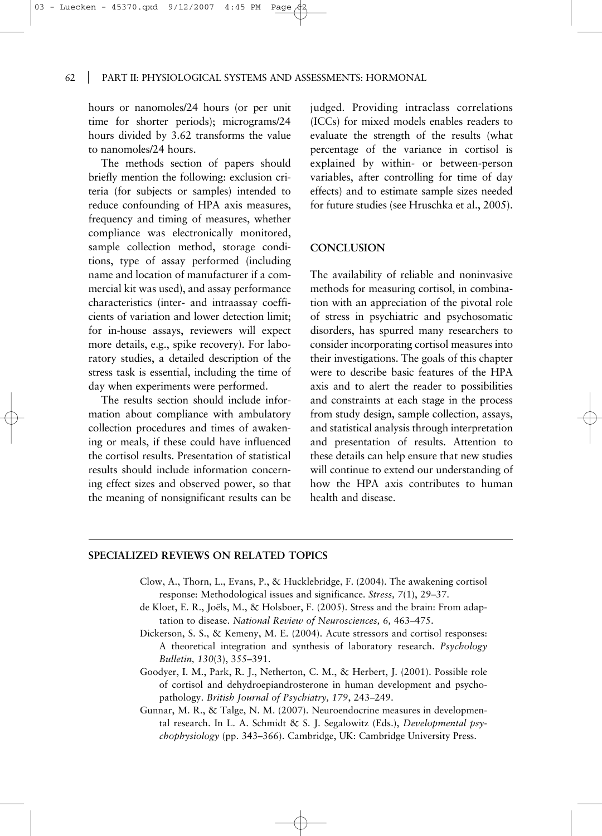hours or nanomoles/24 hours (or per unit time for shorter periods); micrograms/24 hours divided by 3.62 transforms the value to nanomoles/24 hours.

The methods section of papers should briefly mention the following: exclusion criteria (for subjects or samples) intended to reduce confounding of HPA axis measures, frequency and timing of measures, whether compliance was electronically monitored, sample collection method, storage conditions, type of assay performed (including name and location of manufacturer if a commercial kit was used), and assay performance characteristics (inter- and intraassay coefficients of variation and lower detection limit; for in-house assays, reviewers will expect more details, e.g., spike recovery). For laboratory studies, a detailed description of the stress task is essential, including the time of day when experiments were performed.

The results section should include information about compliance with ambulatory collection procedures and times of awakening or meals, if these could have influenced the cortisol results. Presentation of statistical results should include information concerning effect sizes and observed power, so that the meaning of nonsignificant results can be

judged. Providing intraclass correlations (ICCs) for mixed models enables readers to evaluate the strength of the results (what percentage of the variance in cortisol is explained by within- or between-person variables, after controlling for time of day effects) and to estimate sample sizes needed for future studies (see Hruschka et al., 2005).

#### **CONCLUSION**

The availability of reliable and noninvasive methods for measuring cortisol, in combination with an appreciation of the pivotal role of stress in psychiatric and psychosomatic disorders, has spurred many researchers to consider incorporating cortisol measures into their investigations. The goals of this chapter were to describe basic features of the HPA axis and to alert the reader to possibilities and constraints at each stage in the process from study design, sample collection, assays, and statistical analysis through interpretation and presentation of results. Attention to these details can help ensure that new studies will continue to extend our understanding of how the HPA axis contributes to human health and disease.

## **SPECIALIZED REVIEWS ON RELATED TOPICS**

- Clow, A., Thorn, L., Evans, P., & Hucklebridge, F. (2004). The awakening cortisol response: Methodological issues and significance. *Stress, 7*(1), 29–37.
- de Kloet, E. R., Joëls, M., & Holsboer, F. (2005). Stress and the brain: From adaptation to disease. *National Review of Neurosciences, 6,* 463–475.
- Dickerson, S. S., & Kemeny, M. E. (2004). Acute stressors and cortisol responses: A theoretical integration and synthesis of laboratory research. *Psychology Bulletin, 130*(3), 355–391.
- Goodyer, I. M., Park, R. J., Netherton, C. M., & Herbert, J. (2001). Possible role of cortisol and dehydroepiandrosterone in human development and psychopathology. *British Journal of Psychiatry, 179*, 243–249.
- Gunnar, M. R., & Talge, N. M. (2007). Neuroendocrine measures in developmental research. In L. A. Schmidt & S. J. Segalowitz (Eds.), *Developmental psychophysiology* (pp. 343–366). Cambridge, UK: Cambridge University Press.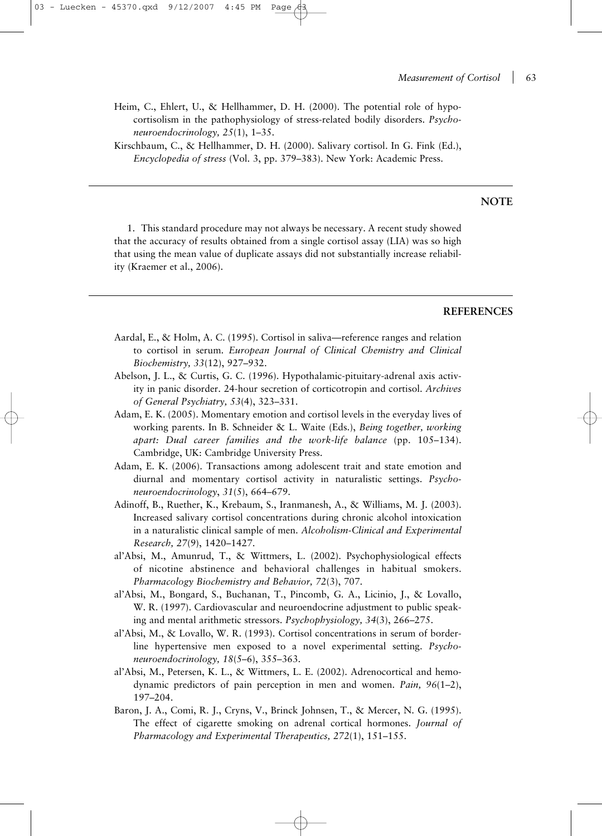Heim, C., Ehlert, U., & Hellhammer, D. H. (2000). The potential role of hypocortisolism in the pathophysiology of stress-related bodily disorders. *Psychoneuroendocrinology, 25*(1), 1–35.

Kirschbaum, C., & Hellhammer, D. H. (2000). Salivary cortisol. In G. Fink (Ed.), *Encyclopedia of stress* (Vol. 3, pp. 379–383). New York: Academic Press.

## **NOTE**

1. This standard procedure may not always be necessary. A recent study showed that the accuracy of results obtained from a single cortisol assay (LIA) was so high that using the mean value of duplicate assays did not substantially increase reliability (Kraemer et al., 2006).

#### **REFERENCES**

- Aardal, E., & Holm, A. C. (1995). Cortisol in saliva—reference ranges and relation to cortisol in serum. *European Journal of Clinical Chemistry and Clinical Biochemistry, 33*(12), 927–932.
- Abelson, J. L., & Curtis, G. C. (1996). Hypothalamic-pituitary-adrenal axis activity in panic disorder. 24-hour secretion of corticotropin and cortisol. *Archives of General Psychiatry, 53*(4), 323–331.
- Adam, E. K. (2005). Momentary emotion and cortisol levels in the everyday lives of working parents. In B. Schneider & L. Waite (Eds.), *Being together, working apart: Dual career families and the work-life balance* (pp. 105–134). Cambridge, UK: Cambridge University Press.
- Adam, E. K. (2006). Transactions among adolescent trait and state emotion and diurnal and momentary cortisol activity in naturalistic settings. *Psychoneuroendocrinology*, *31*(5), 664–679.
- Adinoff, B., Ruether, K., Krebaum, S., Iranmanesh, A., & Williams, M. J. (2003). Increased salivary cortisol concentrations during chronic alcohol intoxication in a naturalistic clinical sample of men. *Alcoholism-Clinical and Experimental Research, 27*(9), 1420–1427.
- al'Absi, M., Amunrud, T., & Wittmers, L. (2002). Psychophysiological effects of nicotine abstinence and behavioral challenges in habitual smokers. *Pharmacology Biochemistry and Behavior, 72*(3), 707.
- al'Absi, M., Bongard, S., Buchanan, T., Pincomb, G. A., Licinio, J., & Lovallo, W. R. (1997). Cardiovascular and neuroendocrine adjustment to public speaking and mental arithmetic stressors. *Psychophysiology, 34*(3), 266–275.
- al'Absi, M., & Lovallo, W. R. (1993). Cortisol concentrations in serum of borderline hypertensive men exposed to a novel experimental setting. *Psychoneuroendocrinology, 18*(5–6), 355–363.
- al'Absi, M., Petersen, K. L., & Wittmers, L. E. (2002). Adrenocortical and hemodynamic predictors of pain perception in men and women. *Pain, 96*(1–2), 197–204.
- Baron, J. A., Comi, R. J., Cryns, V., Brinck Johnsen, T., & Mercer, N. G. (1995). The effect of cigarette smoking on adrenal cortical hormones. *Journal of Pharmacology and Experimental Therapeutics, 272*(1), 151–155.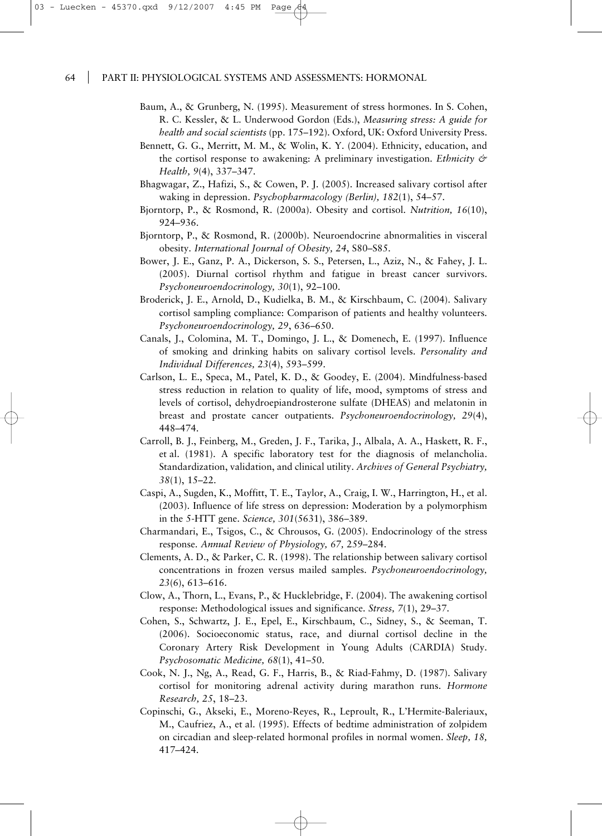- Baum, A., & Grunberg, N. (1995). Measurement of stress hormones. In S. Cohen, R. C. Kessler, & L. Underwood Gordon (Eds.), *Measuring stress: A guide for health and social scientists* (pp. 175–192). Oxford, UK: Oxford University Press.
- Bennett, G. G., Merritt, M. M., & Wolin, K. Y. (2004). Ethnicity, education, and the cortisol response to awakening: A preliminary investigation. *Ethnicity & Health, 9*(4), 337–347.
- Bhagwagar, Z., Hafizi, S., & Cowen, P. J. (2005). Increased salivary cortisol after waking in depression. *Psychopharmacology (Berlin), 182*(1), 54–57.
- Bjorntorp, P., & Rosmond, R. (2000a). Obesity and cortisol. *Nutrition, 16*(10), 924–936.
- Bjorntorp, P., & Rosmond, R. (2000b). Neuroendocrine abnormalities in visceral obesity. *International Journal of Obesity, 24*, S80–S85.
- Bower, J. E., Ganz, P. A., Dickerson, S. S., Petersen, L., Aziz, N., & Fahey, J. L. (2005). Diurnal cortisol rhythm and fatigue in breast cancer survivors. *Psychoneuroendocrinology, 30*(1), 92–100.
- Broderick, J. E., Arnold, D., Kudielka, B. M., & Kirschbaum, C. (2004). Salivary cortisol sampling compliance: Comparison of patients and healthy volunteers. *Psychoneuroendocrinology, 29*, 636–650.
- Canals, J., Colomina, M. T., Domingo, J. L., & Domenech, E. (1997). Influence of smoking and drinking habits on salivary cortisol levels. *Personality and Individual Differences, 23*(4), 593–599.
- Carlson, L. E., Speca, M., Patel, K. D., & Goodey, E. (2004). Mindfulness-based stress reduction in relation to quality of life, mood, symptoms of stress and levels of cortisol, dehydroepiandrosterone sulfate (DHEAS) and melatonin in breast and prostate cancer outpatients. *Psychoneuroendocrinology, 29*(4), 448–474.
- Carroll, B. J., Feinberg, M., Greden, J. F., Tarika, J., Albala, A. A., Haskett, R. F., et al. (1981). A specific laboratory test for the diagnosis of melancholia. Standardization, validation, and clinical utility. *Archives of General Psychiatry, 38*(1), 15–22.
- Caspi, A., Sugden, K., Moffitt, T. E., Taylor, A., Craig, I. W., Harrington, H., et al. (2003). Influence of life stress on depression: Moderation by a polymorphism in the 5-HTT gene. *Science, 301*(5631), 386–389.
- Charmandari, E., Tsigos, C., & Chrousos, G. (2005). Endocrinology of the stress response. *Annual Review of Physiology, 67,* 259–284.
- Clements, A. D., & Parker, C. R. (1998). The relationship between salivary cortisol concentrations in frozen versus mailed samples. *Psychoneuroendocrinology, 23*(6), 613–616.
- Clow, A., Thorn, L., Evans, P., & Hucklebridge, F. (2004). The awakening cortisol response: Methodological issues and significance. *Stress, 7*(1), 29–37.
- Cohen, S., Schwartz, J. E., Epel, E., Kirschbaum, C., Sidney, S., & Seeman, T. (2006). Socioeconomic status, race, and diurnal cortisol decline in the Coronary Artery Risk Development in Young Adults (CARDIA) Study. *Psychosomatic Medicine, 68*(1), 41–50.
- Cook, N. J., Ng, A., Read, G. F., Harris, B., & Riad-Fahmy, D. (1987). Salivary cortisol for monitoring adrenal activity during marathon runs. *Hormone Research, 25*, 18–23.
- Copinschi, G., Akseki, E., Moreno-Reyes, R., Leproult, R., L'Hermite-Baleriaux, M., Caufriez, A., et al. (1995). Effects of bedtime administration of zolpidem on circadian and sleep-related hormonal profiles in normal women. *Sleep, 18,* 417–424.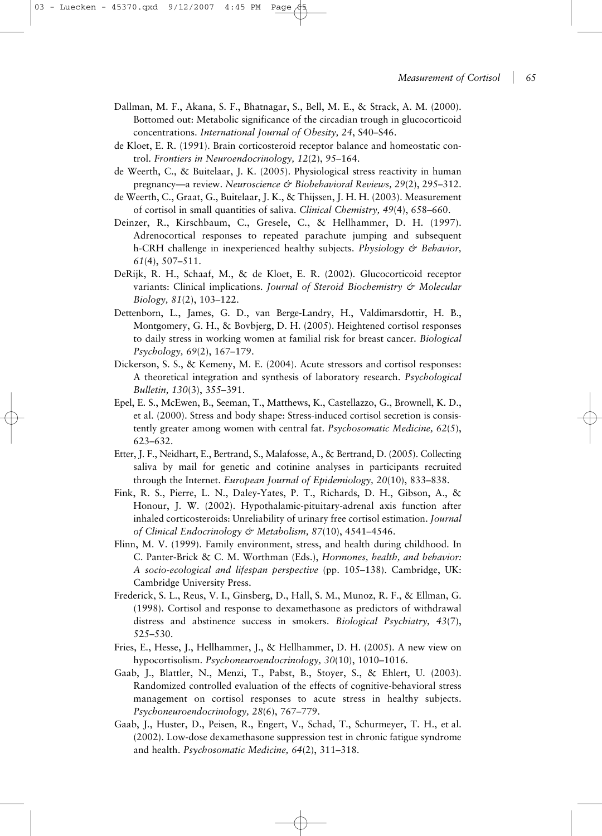- Dallman, M. F., Akana, S. F., Bhatnagar, S., Bell, M. E., & Strack, A. M. (2000). Bottomed out: Metabolic significance of the circadian trough in glucocorticoid concentrations. *International Journal of Obesity, 24*, S40–S46.
- de Kloet, E. R. (1991). Brain corticosteroid receptor balance and homeostatic control. *Frontiers in Neuroendocrinology, 12*(2), 95–164.
- de Weerth, C., & Buitelaar, J. K. (2005). Physiological stress reactivity in human pregnancy—a review. *Neuroscience & Biobehavioral Reviews, 29*(2), 295–312.
- de Weerth, C., Graat, G., Buitelaar, J. K., & Thijssen, J. H. H. (2003). Measurement of cortisol in small quantities of saliva. *Clinical Chemistry, 49*(4), 658–660.
- Deinzer, R., Kirschbaum, C., Gresele, C., & Hellhammer, D. H. (1997). Adrenocortical responses to repeated parachute jumping and subsequent h-CRH challenge in inexperienced healthy subjects. *Physiology & Behavior, 61*(4), 507–511.
- DeRijk, R. H., Schaaf, M., & de Kloet, E. R. (2002). Glucocorticoid receptor variants: Clinical implications. *Journal of Steroid Biochemistry & Molecular Biology, 81*(2), 103–122.
- Dettenborn, L., James, G. D., van Berge-Landry, H., Valdimarsdottir, H. B., Montgomery, G. H., & Bovbjerg, D. H. (2005). Heightened cortisol responses to daily stress in working women at familial risk for breast cancer. *Biological Psychology, 69*(2), 167–179.
- Dickerson, S. S., & Kemeny, M. E. (2004). Acute stressors and cortisol responses: A theoretical integration and synthesis of laboratory research. *Psychological Bulletin, 130*(3), 355–391.
- Epel, E. S., McEwen, B., Seeman, T., Matthews, K., Castellazzo, G., Brownell, K. D., et al. (2000). Stress and body shape: Stress-induced cortisol secretion is consistently greater among women with central fat. *Psychosomatic Medicine, 62*(5), 623–632.
- Etter, J. F., Neidhart, E., Bertrand, S., Malafosse, A., & Bertrand, D. (2005). Collecting saliva by mail for genetic and cotinine analyses in participants recruited through the Internet. *European Journal of Epidemiology, 20*(10), 833–838.
- Fink, R. S., Pierre, L. N., Daley-Yates, P. T., Richards, D. H., Gibson, A., & Honour, J. W. (2002). Hypothalamic-pituitary-adrenal axis function after inhaled corticosteroids: Unreliability of urinary free cortisol estimation. *Journal of Clinical Endocrinology & Metabolism, 87*(10), 4541–4546.
- Flinn, M. V. (1999). Family environment, stress, and health during childhood. In C. Panter-Brick & C. M. Worthman (Eds.), *Hormones, health, and behavior: A socio-ecological and lifespan perspective* (pp. 105–138). Cambridge, UK: Cambridge University Press.
- Frederick, S. L., Reus, V. I., Ginsberg, D., Hall, S. M., Munoz, R. F., & Ellman, G. (1998). Cortisol and response to dexamethasone as predictors of withdrawal distress and abstinence success in smokers. *Biological Psychiatry, 43*(7), 525–530.
- Fries, E., Hesse, J., Hellhammer, J., & Hellhammer, D. H. (2005). A new view on hypocortisolism. *Psychoneuroendocrinology, 30*(10), 1010–1016.
- Gaab, J., Blattler, N., Menzi, T., Pabst, B., Stoyer, S., & Ehlert, U. (2003). Randomized controlled evaluation of the effects of cognitive-behavioral stress management on cortisol responses to acute stress in healthy subjects. *Psychoneuroendocrinology, 28*(6), 767–779.
- Gaab, J., Huster, D., Peisen, R., Engert, V., Schad, T., Schurmeyer, T. H., et al. (2002). Low-dose dexamethasone suppression test in chronic fatigue syndrome and health. *Psychosomatic Medicine, 64*(2), 311–318.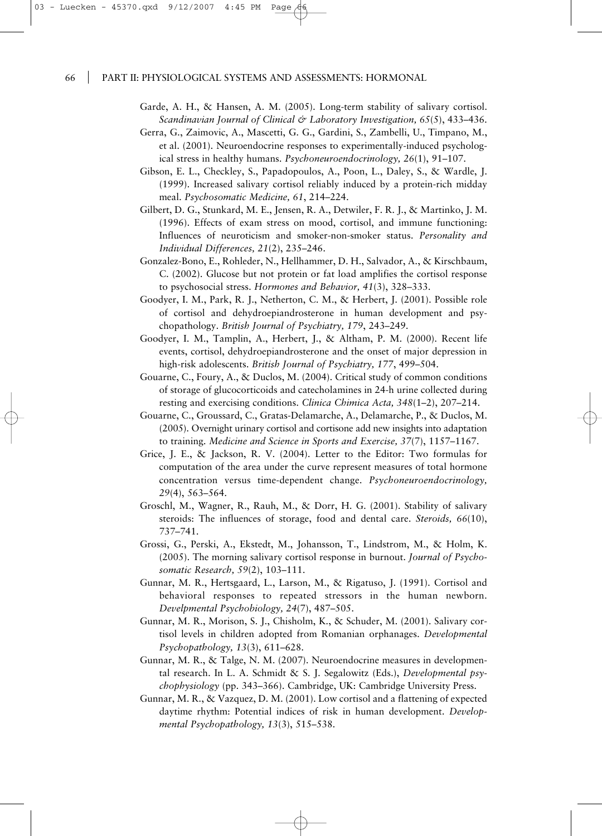Garde, A. H., & Hansen, A. M. (2005). Long-term stability of salivary cortisol. *Scandinavian Journal of Clinical & Laboratory Investigation, 65*(5), 433–436.

- Gerra, G., Zaimovic, A., Mascetti, G. G., Gardini, S., Zambelli, U., Timpano, M., et al. (2001). Neuroendocrine responses to experimentally-induced psychological stress in healthy humans. *Psychoneuroendocrinology, 26*(1), 91–107.
- Gibson, E. L., Checkley, S., Papadopoulos, A., Poon, L., Daley, S., & Wardle, J. (1999). Increased salivary cortisol reliably induced by a protein-rich midday meal. *Psychosomatic Medicine, 61*, 214–224.
- Gilbert, D. G., Stunkard, M. E., Jensen, R. A., Detwiler, F. R. J., & Martinko, J. M. (1996). Effects of exam stress on mood, cortisol, and immune functioning: Influences of neuroticism and smoker-non-smoker status. *Personality and Individual Differences, 21*(2), 235–246.
- Gonzalez-Bono, E., Rohleder, N., Hellhammer, D. H., Salvador, A., & Kirschbaum, C. (2002). Glucose but not protein or fat load amplifies the cortisol response to psychosocial stress. *Hormones and Behavior, 41*(3), 328–333.
- Goodyer, I. M., Park, R. J., Netherton, C. M., & Herbert, J. (2001). Possible role of cortisol and dehydroepiandrosterone in human development and psychopathology. *British Journal of Psychiatry, 179*, 243–249.
- Goodyer, I. M., Tamplin, A., Herbert, J., & Altham, P. M. (2000). Recent life events, cortisol, dehydroepiandrosterone and the onset of major depression in high-risk adolescents. *British Journal of Psychiatry, 177*, 499–504.
- Gouarne, C., Foury, A., & Duclos, M. (2004). Critical study of common conditions of storage of glucocorticoids and catecholamines in 24-h urine collected during resting and exercising conditions. *Clinica Chimica Acta, 348*(1–2), 207–214.
- Gouarne, C., Groussard, C., Gratas-Delamarche, A., Delamarche, P., & Duclos, M. (2005). Overnight urinary cortisol and cortisone add new insights into adaptation to training. *Medicine and Science in Sports and Exercise, 37*(7), 1157–1167.
- Grice, J. E., & Jackson, R. V. (2004). Letter to the Editor: Two formulas for computation of the area under the curve represent measures of total hormone concentration versus time-dependent change. *Psychoneuroendocrinology, 29*(4), 563–564.
- Groschl, M., Wagner, R., Rauh, M., & Dorr, H. G. (2001). Stability of salivary steroids: The influences of storage, food and dental care. *Steroids, 66*(10), 737–741.
- Grossi, G., Perski, A., Ekstedt, M., Johansson, T., Lindstrom, M., & Holm, K. (2005). The morning salivary cortisol response in burnout. *Journal of Psychosomatic Research, 59*(2), 103–111.
- Gunnar, M. R., Hertsgaard, L., Larson, M., & Rigatuso, J. (1991). Cortisol and behavioral responses to repeated stressors in the human newborn. *Develpmental Psychobiology, 24*(7), 487–505.
- Gunnar, M. R., Morison, S. J., Chisholm, K., & Schuder, M. (2001). Salivary cortisol levels in children adopted from Romanian orphanages. *Developmental Psychopathology, 13*(3), 611–628.
- Gunnar, M. R., & Talge, N. M. (2007). Neuroendocrine measures in developmental research. In L. A. Schmidt & S. J. Segalowitz (Eds.), *Developmental psychophysiology* (pp. 343–366). Cambridge, UK: Cambridge University Press.
- Gunnar, M. R., & Vazquez, D. M. (2001). Low cortisol and a flattening of expected daytime rhythm: Potential indices of risk in human development. *Developmental Psychopathology, 13*(3), 515–538.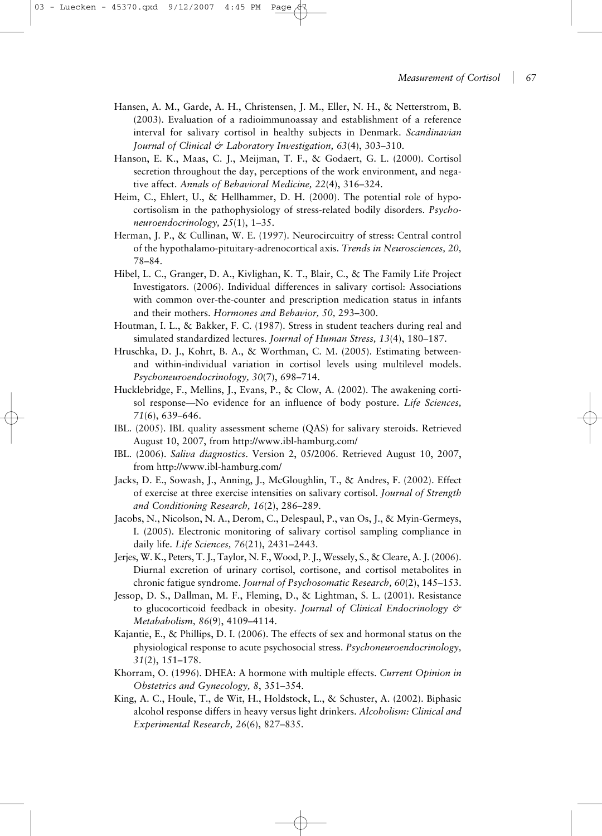- Hansen, A. M., Garde, A. H., Christensen, J. M., Eller, N. H., & Netterstrom, B. (2003). Evaluation of a radioimmunoassay and establishment of a reference interval for salivary cortisol in healthy subjects in Denmark. *Scandinavian Journal of Clinical & Laboratory Investigation, 63*(4), 303–310.
- Hanson, E. K., Maas, C. J., Meijman, T. F., & Godaert, G. L. (2000). Cortisol secretion throughout the day, perceptions of the work environment, and negative affect. *Annals of Behavioral Medicine, 22*(4), 316–324.
- Heim, C., Ehlert, U., & Hellhammer, D. H. (2000). The potential role of hypocortisolism in the pathophysiology of stress-related bodily disorders. *Psychoneuroendocrinology, 25*(1), 1–35.
- Herman, J. P., & Cullinan, W. E. (1997). Neurocircuitry of stress: Central control of the hypothalamo-pituitary-adrenocortical axis. *Trends in Neurosciences, 20,* 78–84.
- Hibel, L. C., Granger, D. A., Kivlighan, K. T., Blair, C., & The Family Life Project Investigators. (2006). Individual differences in salivary cortisol: Associations with common over-the-counter and prescription medication status in infants and their mothers. *Hormones and Behavior, 50,* 293–300.
- Houtman, I. L., & Bakker, F. C. (1987). Stress in student teachers during real and simulated standardized lectures. *Journal of Human Stress, 13*(4), 180–187.
- Hruschka, D. J., Kohrt, B. A., & Worthman, C. M. (2005). Estimating betweenand within-individual variation in cortisol levels using multilevel models. *Psychoneuroendocrinology, 30*(7), 698–714.
- Hucklebridge, F., Mellins, J., Evans, P., & Clow, A. (2002). The awakening cortisol response—No evidence for an influence of body posture. *Life Sciences, 71*(6), 639–646.
- IBL. (2005). IBL quality assessment scheme (QAS) for salivary steroids. Retrieved August 10, 2007, from http://www.ibl-hamburg.com/
- IBL. (2006). *Saliva diagnostics*. Version 2, 05/2006. Retrieved August 10, 2007, from http://www.ibl-hamburg.com/
- Jacks, D. E., Sowash, J., Anning, J., McGloughlin, T., & Andres, F. (2002). Effect of exercise at three exercise intensities on salivary cortisol. *Journal of Strength and Conditioning Research, 16*(2), 286–289.
- Jacobs, N., Nicolson, N. A., Derom, C., Delespaul, P., van Os, J., & Myin-Germeys, I. (2005). Electronic monitoring of salivary cortisol sampling compliance in daily life. *Life Sciences, 76*(21), 2431–2443.
- Jerjes, W. K., Peters, T. J., Taylor, N. F., Wood, P. J., Wessely, S., & Cleare, A. J. (2006). Diurnal excretion of urinary cortisol, cortisone, and cortisol metabolites in chronic fatigue syndrome. *Journal of Psychosomatic Research, 60*(2), 145–153.
- Jessop, D. S., Dallman, M. F., Fleming, D., & Lightman, S. L. (2001). Resistance to glucocorticoid feedback in obesity. *Journal of Clinical Endocrinology & Metababolism, 86*(9), 4109–4114.
- Kajantie, E., & Phillips, D. I. (2006). The effects of sex and hormonal status on the physiological response to acute psychosocial stress. *Psychoneuroendocrinology, 31*(2), 151–178.
- Khorram, O. (1996). DHEA: A hormone with multiple effects. *Current Opinion in Obstetrics and Gynecology, 8*, 351–354.
- King, A. C., Houle, T., de Wit, H., Holdstock, L., & Schuster, A. (2002). Biphasic alcohol response differs in heavy versus light drinkers. *Alcoholism: Clinical and Experimental Research, 26*(6), 827–835.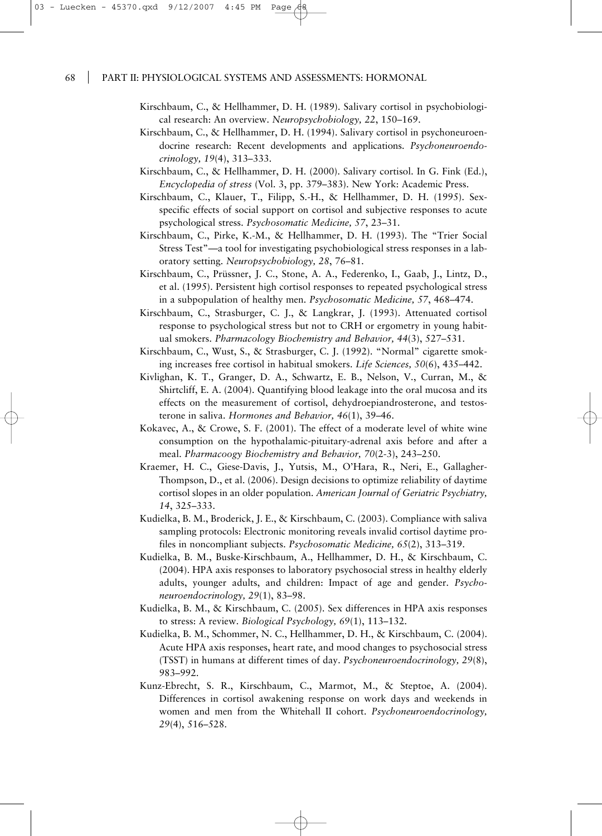- Kirschbaum, C., & Hellhammer, D. H. (1989). Salivary cortisol in psychobiological research: An overview. *Neuropsychobiology, 22*, 150–169.
- Kirschbaum, C., & Hellhammer, D. H. (1994). Salivary cortisol in psychoneuroendocrine research: Recent developments and applications. *Psychoneuroendocrinology, 19*(4), 313–333.
- Kirschbaum, C., & Hellhammer, D. H. (2000). Salivary cortisol. In G. Fink (Ed.), *Encyclopedia of stress* (Vol. 3, pp. 379–383). New York: Academic Press.
- Kirschbaum, C., Klauer, T., Filipp, S.-H., & Hellhammer, D. H. (1995). Sexspecific effects of social support on cortisol and subjective responses to acute psychological stress. *Psychosomatic Medicine, 57*, 23–31.
- Kirschbaum, C., Pirke, K.-M., & Hellhammer, D. H. (1993). The "Trier Social Stress Test"—a tool for investigating psychobiological stress responses in a laboratory setting. *Neuropsychobiology, 28*, 76–81.
- Kirschbaum, C., Prüssner, J. C., Stone, A. A., Federenko, I., Gaab, J., Lintz, D., et al. (1995). Persistent high cortisol responses to repeated psychological stress in a subpopulation of healthy men. *Psychosomatic Medicine, 57*, 468–474.
- Kirschbaum, C., Strasburger, C. J., & Langkrar, J. (1993). Attenuated cortisol response to psychological stress but not to CRH or ergometry in young habitual smokers. *Pharmacology Biochemistry and Behavior, 44*(3), 527–531.
- Kirschbaum, C., Wust, S., & Strasburger, C. J. (1992). "Normal" cigarette smoking increases free cortisol in habitual smokers. *Life Sciences, 50*(6), 435–442.
- Kivlighan, K. T., Granger, D. A., Schwartz, E. B., Nelson, V., Curran, M., & Shirtcliff, E. A. (2004). Quantifying blood leakage into the oral mucosa and its effects on the measurement of cortisol, dehydroepiandrosterone, and testosterone in saliva. *Hormones and Behavior, 46*(1), 39–46.
- Kokavec, A., & Crowe, S. F. (2001). The effect of a moderate level of white wine consumption on the hypothalamic-pituitary-adrenal axis before and after a meal. *Pharmacoogy Biochemistry and Behavior, 70*(2-3), 243–250.
- Kraemer, H. C., Giese-Davis, J., Yutsis, M., O'Hara, R., Neri, E., Gallagher-Thompson, D., et al. (2006). Design decisions to optimize reliability of daytime cortisol slopes in an older population. *American Journal of Geriatric Psychiatry, 14*, 325–333.
- Kudielka, B. M., Broderick, J. E., & Kirschbaum, C. (2003). Compliance with saliva sampling protocols: Electronic monitoring reveals invalid cortisol daytime profiles in noncompliant subjects. *Psychosomatic Medicine, 65*(2), 313–319.
- Kudielka, B. M., Buske-Kirschbaum, A., Hellhammer, D. H., & Kirschbaum, C. (2004). HPA axis responses to laboratory psychosocial stress in healthy elderly adults, younger adults, and children: Impact of age and gender. *Psychoneuroendocrinology, 29*(1), 83–98.
- Kudielka, B. M., & Kirschbaum, C. (2005). Sex differences in HPA axis responses to stress: A review. *Biological Psychology, 69*(1), 113–132.
- Kudielka, B. M., Schommer, N. C., Hellhammer, D. H., & Kirschbaum, C. (2004). Acute HPA axis responses, heart rate, and mood changes to psychosocial stress (TSST) in humans at different times of day. *Psychoneuroendocrinology, 29*(8), 983–992.
- Kunz-Ebrecht, S. R., Kirschbaum, C., Marmot, M., & Steptoe, A. (2004). Differences in cortisol awakening response on work days and weekends in women and men from the Whitehall II cohort. *Psychoneuroendocrinology, 29*(4), 516–528.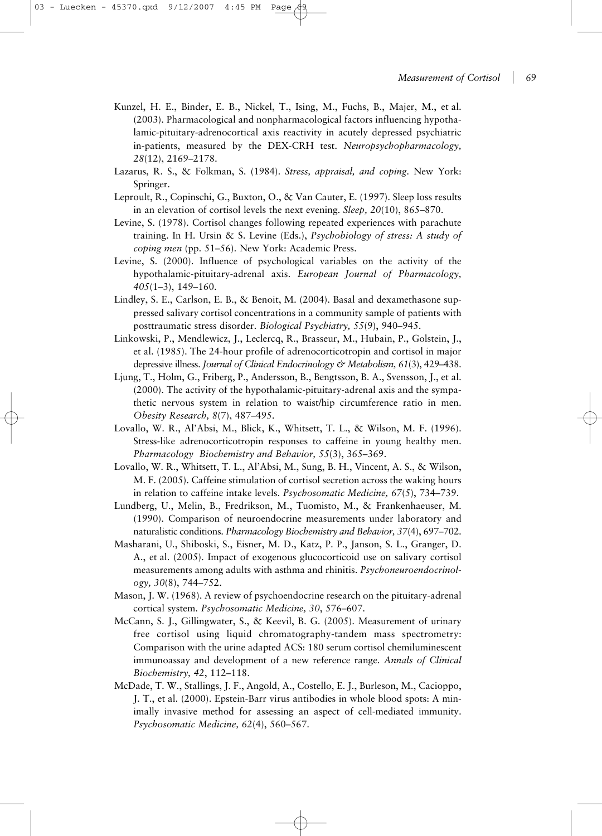- Kunzel, H. E., Binder, E. B., Nickel, T., Ising, M., Fuchs, B., Majer, M., et al. (2003). Pharmacological and nonpharmacological factors influencing hypothalamic-pituitary-adrenocortical axis reactivity in acutely depressed psychiatric in-patients, measured by the DEX-CRH test. *Neuropsychopharmacology, 28*(12), 2169–2178.
- Lazarus, R. S., & Folkman, S. (1984). *Stress, appraisal, and coping*. New York: Springer.
- Leproult, R., Copinschi, G., Buxton, O., & Van Cauter, E. (1997). Sleep loss results in an elevation of cortisol levels the next evening. *Sleep, 20*(10), 865–870.
- Levine, S. (1978). Cortisol changes following repeated experiences with parachute training. In H. Ursin & S. Levine (Eds.), *Psychobiology of stress: A study of coping men* (pp. 51–56). New York: Academic Press.
- Levine, S. (2000). Influence of psychological variables on the activity of the hypothalamic-pituitary-adrenal axis. *European Journal of Pharmacology, 405*(1–3), 149–160.
- Lindley, S. E., Carlson, E. B., & Benoit, M. (2004). Basal and dexamethasone suppressed salivary cortisol concentrations in a community sample of patients with posttraumatic stress disorder. *Biological Psychiatry, 55*(9), 940–945.
- Linkowski, P., Mendlewicz, J., Leclercq, R., Brasseur, M., Hubain, P., Golstein, J., et al. (1985). The 24-hour profile of adrenocorticotropin and cortisol in major depressive illness. *Journal of Clinical Endocrinology & Metabolism, 61*(3), 429–438.
- Ljung, T., Holm, G., Friberg, P., Andersson, B., Bengtsson, B. A., Svensson, J., et al. (2000). The activity of the hypothalamic-pituitary-adrenal axis and the sympathetic nervous system in relation to waist/hip circumference ratio in men. *Obesity Research, 8*(7), 487–495.
- Lovallo, W. R., Al'Absi, M., Blick, K., Whitsett, T. L., & Wilson, M. F. (1996). Stress-like adrenocorticotropin responses to caffeine in young healthy men. *Pharmacology Biochemistry and Behavior, 55*(3), 365–369.
- Lovallo, W. R., Whitsett, T. L., Al'Absi, M., Sung, B. H., Vincent, A. S., & Wilson, M. F. (2005). Caffeine stimulation of cortisol secretion across the waking hours in relation to caffeine intake levels. *Psychosomatic Medicine, 67*(5), 734–739.
- Lundberg, U., Melin, B., Fredrikson, M., Tuomisto, M., & Frankenhaeuser, M. (1990). Comparison of neuroendocrine measurements under laboratory and naturalistic conditions. *Pharmacology Biochemistry and Behavior, 37*(4), 697–702.
- Masharani, U., Shiboski, S., Eisner, M. D., Katz, P. P., Janson, S. L., Granger, D. A., et al. (2005). Impact of exogenous glucocorticoid use on salivary cortisol measurements among adults with asthma and rhinitis. *Psychoneuroendocrinology, 30*(8), 744–752.
- Mason, J. W. (1968). A review of psychoendocrine research on the pituitary-adrenal cortical system. *Psychosomatic Medicine, 30*, 576–607.
- McCann, S. J., Gillingwater, S., & Keevil, B. G. (2005). Measurement of urinary free cortisol using liquid chromatography-tandem mass spectrometry: Comparison with the urine adapted ACS: 180 serum cortisol chemiluminescent immunoassay and development of a new reference range. *Annals of Clinical Biochemistry, 42*, 112–118.
- McDade, T. W., Stallings, J. F., Angold, A., Costello, E. J., Burleson, M., Cacioppo, J. T., et al. (2000). Epstein-Barr virus antibodies in whole blood spots: A minimally invasive method for assessing an aspect of cell-mediated immunity. *Psychosomatic Medicine, 62*(4), 560–567.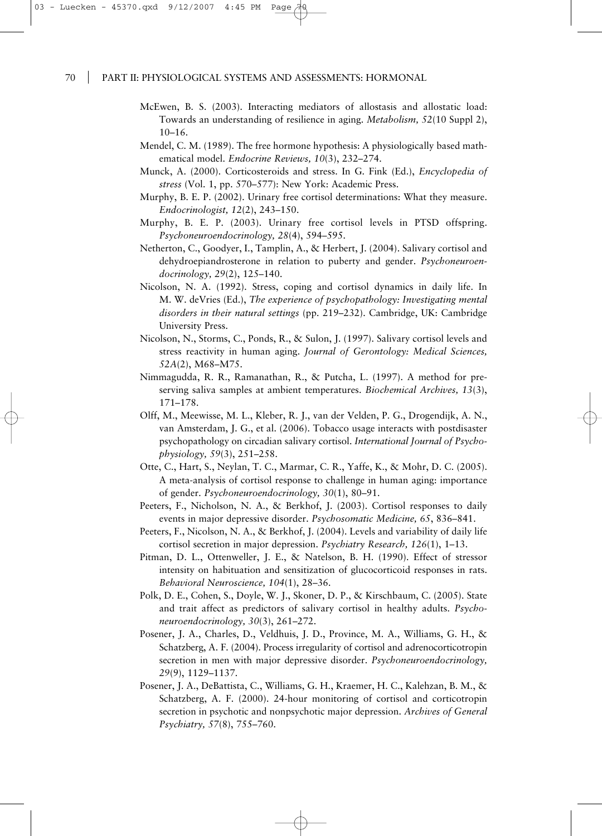- McEwen, B. S. (2003). Interacting mediators of allostasis and allostatic load: Towards an understanding of resilience in aging. *Metabolism, 52*(10 Suppl 2), 10–16.
- Mendel, C. M. (1989). The free hormone hypothesis: A physiologically based mathematical model. *Endocrine Reviews, 10*(3), 232–274.
- Munck, A. (2000). Corticosteroids and stress. In G. Fink (Ed.), *Encyclopedia of stress* (Vol. 1, pp. 570–577): New York: Academic Press.
- Murphy, B. E. P. (2002). Urinary free cortisol determinations: What they measure. *Endocrinologist, 12*(2), 243–150.
- Murphy, B. E. P. (2003). Urinary free cortisol levels in PTSD offspring. *Psychoneuroendocrinology, 28*(4), 594–595.
- Netherton, C., Goodyer, I., Tamplin, A., & Herbert, J. (2004). Salivary cortisol and dehydroepiandrosterone in relation to puberty and gender. *Psychoneuroendocrinology, 29*(2), 125–140.
- Nicolson, N. A. (1992). Stress, coping and cortisol dynamics in daily life. In M. W. deVries (Ed.), *The experience of psychopathology: Investigating mental disorders in their natural settings* (pp. 219–232). Cambridge, UK: Cambridge University Press.
- Nicolson, N., Storms, C., Ponds, R., & Sulon, J. (1997). Salivary cortisol levels and stress reactivity in human aging. *Journal of Gerontology: Medical Sciences, 52A*(2), M68–M75.
- Nimmagudda, R. R., Ramanathan, R., & Putcha, L. (1997). A method for preserving saliva samples at ambient temperatures. *Biochemical Archives, 13*(3), 171–178.
- Olff, M., Meewisse, M. L., Kleber, R. J., van der Velden, P. G., Drogendijk, A. N., van Amsterdam, J. G., et al. (2006). Tobacco usage interacts with postdisaster psychopathology on circadian salivary cortisol. *International Journal of Psychophysiology, 59*(3), 251–258.
- Otte, C., Hart, S., Neylan, T. C., Marmar, C. R., Yaffe, K., & Mohr, D. C. (2005). A meta-analysis of cortisol response to challenge in human aging: importance of gender. *Psychoneuroendocrinology, 30*(1), 80–91.
- Peeters, F., Nicholson, N. A., & Berkhof, J. (2003). Cortisol responses to daily events in major depressive disorder. *Psychosomatic Medicine, 65*, 836–841.
- Peeters, F., Nicolson, N. A., & Berkhof, J. (2004). Levels and variability of daily life cortisol secretion in major depression. *Psychiatry Research, 126*(1), 1–13.
- Pitman, D. L., Ottenweller, J. E., & Natelson, B. H. (1990). Effect of stressor intensity on habituation and sensitization of glucocorticoid responses in rats. *Behavioral Neuroscience, 104*(1), 28–36.
- Polk, D. E., Cohen, S., Doyle, W. J., Skoner, D. P., & Kirschbaum, C. (2005). State and trait affect as predictors of salivary cortisol in healthy adults. *Psychoneuroendocrinology, 30*(3), 261–272.
- Posener, J. A., Charles, D., Veldhuis, J. D., Province, M. A., Williams, G. H., & Schatzberg, A. F. (2004). Process irregularity of cortisol and adrenocorticotropin secretion in men with major depressive disorder. *Psychoneuroendocrinology, 29*(9), 1129–1137.
- Posener, J. A., DeBattista, C., Williams, G. H., Kraemer, H. C., Kalehzan, B. M., & Schatzberg, A. F. (2000). 24-hour monitoring of cortisol and corticotropin secretion in psychotic and nonpsychotic major depression. *Archives of General Psychiatry, 57*(8), 755–760.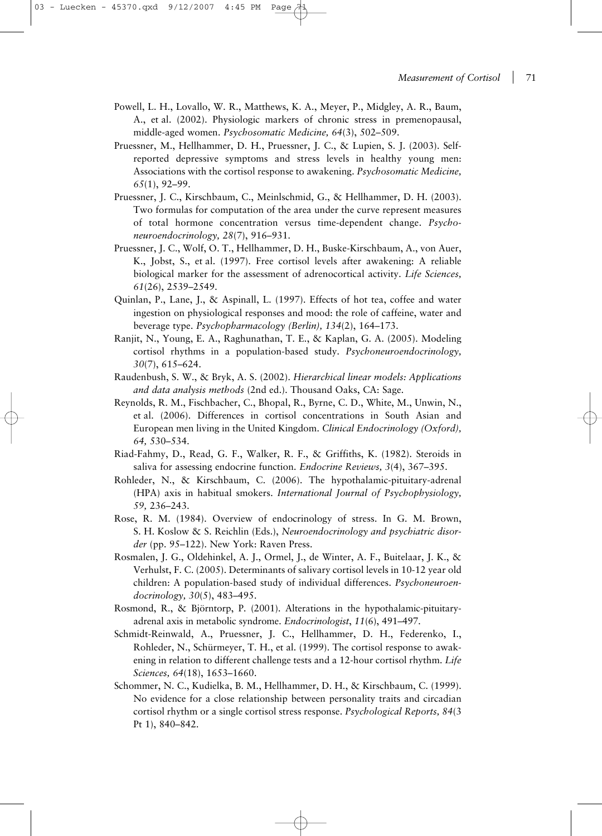- Powell, L. H., Lovallo, W. R., Matthews, K. A., Meyer, P., Midgley, A. R., Baum, A., et al. (2002). Physiologic markers of chronic stress in premenopausal, middle-aged women. *Psychosomatic Medicine, 64*(3), 502–509.
- Pruessner, M., Hellhammer, D. H., Pruessner, J. C., & Lupien, S. J. (2003). Selfreported depressive symptoms and stress levels in healthy young men: Associations with the cortisol response to awakening. *Psychosomatic Medicine, 65*(1), 92–99.
- Pruessner, J. C., Kirschbaum, C., Meinlschmid, G., & Hellhammer, D. H. (2003). Two formulas for computation of the area under the curve represent measures of total hormone concentration versus time-dependent change. *Psychoneuroendocrinology, 28*(7), 916–931.
- Pruessner, J. C., Wolf, O. T., Hellhammer, D. H., Buske-Kirschbaum, A., von Auer, K., Jobst, S., et al. (1997). Free cortisol levels after awakening: A reliable biological marker for the assessment of adrenocortical activity. *Life Sciences, 61*(26), 2539–2549.
- Quinlan, P., Lane, J., & Aspinall, L. (1997). Effects of hot tea, coffee and water ingestion on physiological responses and mood: the role of caffeine, water and beverage type. *Psychopharmacology (Berlin), 134*(2), 164–173.
- Ranjit, N., Young, E. A., Raghunathan, T. E., & Kaplan, G. A. (2005). Modeling cortisol rhythms in a population-based study. *Psychoneuroendocrinology, 30*(7), 615–624.
- Raudenbush, S. W., & Bryk, A. S. (2002). *Hierarchical linear models: Applications and data analysis methods* (2nd ed.). Thousand Oaks, CA: Sage.
- Reynolds, R. M., Fischbacher, C., Bhopal, R., Byrne, C. D., White, M., Unwin, N., et al. (2006). Differences in cortisol concentrations in South Asian and European men living in the United Kingdom. *Clinical Endocrinology (Oxford), 64,* 530–534.
- Riad-Fahmy, D., Read, G. F., Walker, R. F., & Griffiths, K. (1982). Steroids in saliva for assessing endocrine function. *Endocrine Reviews, 3*(4), 367–395.
- Rohleder, N., & Kirschbaum, C. (2006). The hypothalamic-pituitary-adrenal (HPA) axis in habitual smokers. *International Journal of Psychophysiology, 59,* 236–243.
- Rose, R. M. (1984). Overview of endocrinology of stress. In G. M. Brown, S. H. Koslow & S. Reichlin (Eds.), *Neuroendocrinology and psychiatric disorder* (pp. 95–122). New York: Raven Press.
- Rosmalen, J. G., Oldehinkel, A. J., Ormel, J., de Winter, A. F., Buitelaar, J. K., & Verhulst, F. C. (2005). Determinants of salivary cortisol levels in 10-12 year old children: A population-based study of individual differences. *Psychoneuroendocrinology, 30*(5), 483–495.
- Rosmond, R., & Björntorp, P. (2001). Alterations in the hypothalamic-pituitaryadrenal axis in metabolic syndrome. *Endocrinologist*, *11*(6), 491–497.
- Schmidt-Reinwald, A., Pruessner, J. C., Hellhammer, D. H., Federenko, I., Rohleder, N., Schürmeyer, T. H., et al. (1999). The cortisol response to awakening in relation to different challenge tests and a 12-hour cortisol rhythm. *Life Sciences, 64*(18), 1653–1660.
- Schommer, N. C., Kudielka, B. M., Hellhammer, D. H., & Kirschbaum, C. (1999). No evidence for a close relationship between personality traits and circadian cortisol rhythm or a single cortisol stress response. *Psychological Reports, 84*(3 Pt 1), 840–842.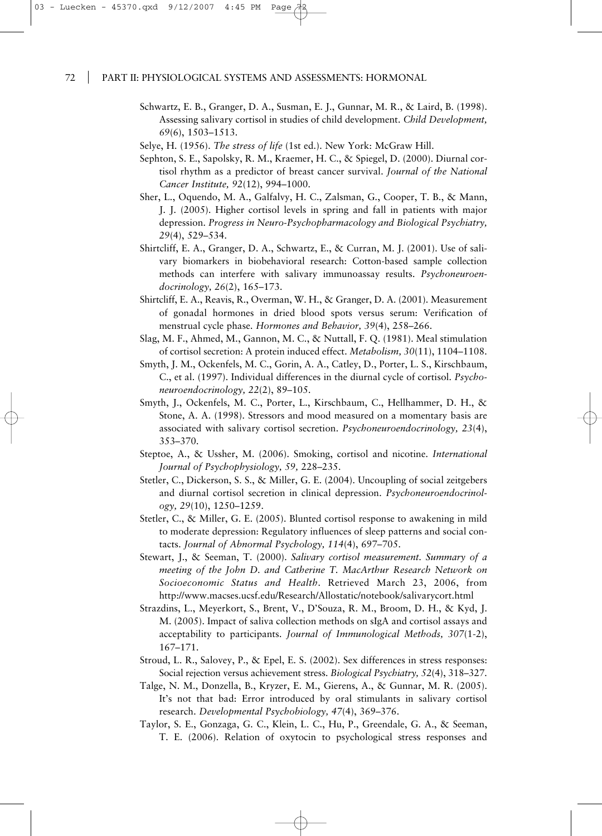- Schwartz, E. B., Granger, D. A., Susman, E. J., Gunnar, M. R., & Laird, B. (1998). Assessing salivary cortisol in studies of child development. *Child Development, 69*(6), 1503–1513.
- Selye, H. (1956). *The stress of life* (1st ed.). New York: McGraw Hill.
- Sephton, S. E., Sapolsky, R. M., Kraemer, H. C., & Spiegel, D. (2000). Diurnal cortisol rhythm as a predictor of breast cancer survival. *Journal of the National Cancer Institute, 92*(12), 994–1000.
- Sher, L., Oquendo, M. A., Galfalvy, H. C., Zalsman, G., Cooper, T. B., & Mann, J. J. (2005). Higher cortisol levels in spring and fall in patients with major depression. *Progress in Neuro-Psychopharmacology and Biological Psychiatry, 29*(4), 529–534.
- Shirtcliff, E. A., Granger, D. A., Schwartz, E., & Curran, M. J. (2001). Use of salivary biomarkers in biobehavioral research: Cotton-based sample collection methods can interfere with salivary immunoassay results. *Psychoneuroendocrinology, 26*(2), 165–173.
- Shirtcliff, E. A., Reavis, R., Overman, W. H., & Granger, D. A. (2001). Measurement of gonadal hormones in dried blood spots versus serum: Verification of menstrual cycle phase. *Hormones and Behavior, 39*(4), 258–266.
- Slag, M. F., Ahmed, M., Gannon, M. C., & Nuttall, F. Q. (1981). Meal stimulation of cortisol secretion: A protein induced effect. *Metabolism, 30*(11), 1104–1108.
- Smyth, J. M., Ockenfels, M. C., Gorin, A. A., Catley, D., Porter, L. S., Kirschbaum, C., et al. (1997). Individual differences in the diurnal cycle of cortisol. *Psychoneuroendocrinology, 22*(2), 89–105.
- Smyth, J., Ockenfels, M. C., Porter, L., Kirschbaum, C., Hellhammer, D. H., & Stone, A. A. (1998). Stressors and mood measured on a momentary basis are associated with salivary cortisol secretion. *Psychoneuroendocrinology, 23*(4), 353–370.
- Steptoe, A., & Ussher, M. (2006). Smoking, cortisol and nicotine. *International Journal of Psychophysiology, 59,* 228–235.
- Stetler, C., Dickerson, S. S., & Miller, G. E. (2004). Uncoupling of social zeitgebers and diurnal cortisol secretion in clinical depression. *Psychoneuroendocrinology, 29*(10), 1250–1259.
- Stetler, C., & Miller, G. E. (2005). Blunted cortisol response to awakening in mild to moderate depression: Regulatory influences of sleep patterns and social contacts. *Journal of Abnormal Psychology, 114*(4), 697–705.
- Stewart, J., & Seeman, T. (2000). *Salivary cortisol measurement. Summary of a meeting of the John D. and Catherine T. MacArthur Research Network on Socioeconomic Status and Health*. Retrieved March 23, 2006, from http://www.macses.ucsf.edu/Research/Allostatic/notebook/salivarycort.html
- Strazdins, L., Meyerkort, S., Brent, V., D'Souza, R. M., Broom, D. H., & Kyd, J. M. (2005). Impact of saliva collection methods on sIgA and cortisol assays and acceptability to participants. *Journal of Immunological Methods, 307*(1-2), 167–171.
- Stroud, L. R., Salovey, P., & Epel, E. S. (2002). Sex differences in stress responses: Social rejection versus achievement stress. *Biological Psychiatry, 52*(4), 318–327.
- Talge, N. M., Donzella, B., Kryzer, E. M., Gierens, A., & Gunnar, M. R. (2005). It's not that bad: Error introduced by oral stimulants in salivary cortisol research. *Developmental Psychobiology, 47*(4), 369–376.
- Taylor, S. E., Gonzaga, G. C., Klein, L. C., Hu, P., Greendale, G. A., & Seeman, T. E. (2006). Relation of oxytocin to psychological stress responses and